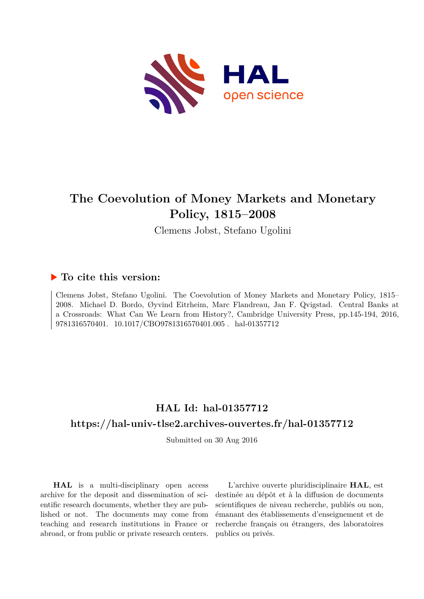

# **The Coevolution of Money Markets and Monetary Policy, 1815–2008**

Clemens Jobst, Stefano Ugolini

# **To cite this version:**

Clemens Jobst, Stefano Ugolini. The Coevolution of Money Markets and Monetary Policy, 1815– 2008. Michael D. Bordo, Øyvind Eitrheim, Marc Flandreau, Jan F. Qvigstad. Central Banks at a Crossroads: What Can We Learn from History?, Cambridge University Press, pp.145-194, 2016, 9781316570401. 10.1017/CBO9781316570401.005. hal-01357712

# **HAL Id: hal-01357712 <https://hal-univ-tlse2.archives-ouvertes.fr/hal-01357712>**

Submitted on 30 Aug 2016

**HAL** is a multi-disciplinary open access archive for the deposit and dissemination of scientific research documents, whether they are published or not. The documents may come from teaching and research institutions in France or abroad, or from public or private research centers.

L'archive ouverte pluridisciplinaire **HAL**, est destinée au dépôt et à la diffusion de documents scientifiques de niveau recherche, publiés ou non, émanant des établissements d'enseignement et de recherche français ou étrangers, des laboratoires publics ou privés.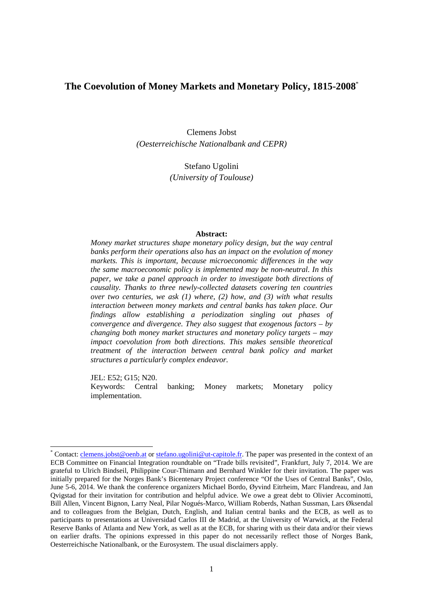## **The Coevolution of Money Markets and Monetary Policy, 1815-2008**\*

Clemens Jobst *(Oesterreichische Nationalbank and CEPR)* 

> Stefano Ugolini *(University of Toulouse)*

#### **Abstract:**

*Money market structures shape monetary policy design, but the way central banks perform their operations also has an impact on the evolution of money markets. This is important, because microeconomic differences in the way the same macroeconomic policy is implemented may be non-neutral. In this paper, we take a panel approach in order to investigate both directions of causality. Thanks to three newly-collected datasets covering ten countries over two centuries, we ask (1) where, (2) how, and (3) with what results interaction between money markets and central banks has taken place. Our findings allow establishing a periodization singling out phases of convergence and divergence. They also suggest that exogenous factors – by changing both money market structures and monetary policy targets – may impact coevolution from both directions. This makes sensible theoretical treatment of the interaction between central bank policy and market structures a particularly complex endeavor.* 

JEL: E52; G15; N20.

l

Keywords: Central banking; Money markets; Monetary policy implementation.

<sup>\*</sup> Contact: clemens.jobst@oenb.at or stefano.ugolini@ut-capitole.fr. The paper was presented in the context of an ECB Committee on Financial Integration roundtable on "Trade bills revisited", Frankfurt, July 7, 2014. We are grateful to Ulrich Bindseil, Philippine Cour-Thimann and Bernhard Winkler for their invitation. The paper was initially prepared for the Norges Bank's Bicentenary Project conference "Of the Uses of Central Banks", Oslo, June 5-6, 2014. We thank the conference organizers Michael Bordo, Øyvind Eitrheim, Marc Flandreau, and Jan Qvigstad for their invitation for contribution and helpful advice. We owe a great debt to Olivier Accominotti, Bill Allen, Vincent Bignon, Larry Neal, Pilar Nogués-Marco, William Roberds, Nathan Sussman, Lars Øksendal and to colleagues from the Belgian, Dutch, English, and Italian central banks and the ECB, as well as to participants to presentations at Universidad Carlos III de Madrid, at the University of Warwick, at the Federal Reserve Banks of Atlanta and New York, as well as at the ECB, for sharing with us their data and/or their views on earlier drafts. The opinions expressed in this paper do not necessarily reflect those of Norges Bank, Oesterreichische Nationalbank, or the Eurosystem. The usual disclaimers apply.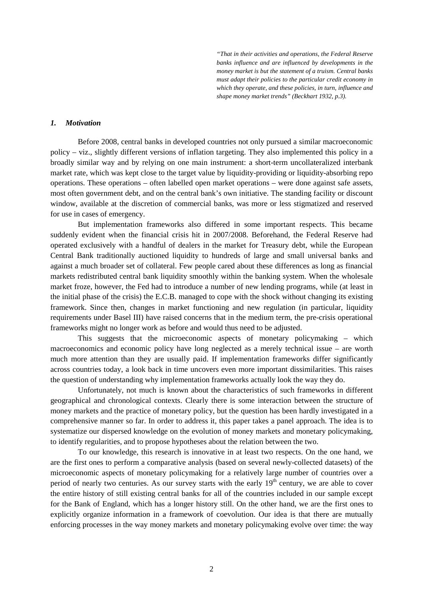*"That in their activities and operations, the Federal Reserve banks influence and are influenced by developments in the money market is but the statement of a truism. Central banks must adapt their policies to the particular credit economy in which they operate, and these policies, in turn, influence and shape money market trends" (Beckhart 1932, p.3).* 

### *1. Motivation*

Before 2008, central banks in developed countries not only pursued a similar macroeconomic policy – viz., slightly different versions of inflation targeting. They also implemented this policy in a broadly similar way and by relying on one main instrument: a short-term uncollateralized interbank market rate, which was kept close to the target value by liquidity-providing or liquidity-absorbing repo operations. These operations – often labelled open market operations – were done against safe assets, most often government debt, and on the central bank's own initiative. The standing facility or discount window, available at the discretion of commercial banks, was more or less stigmatized and reserved for use in cases of emergency.

But implementation frameworks also differed in some important respects. This became suddenly evident when the financial crisis hit in 2007/2008. Beforehand, the Federal Reserve had operated exclusively with a handful of dealers in the market for Treasury debt, while the European Central Bank traditionally auctioned liquidity to hundreds of large and small universal banks and against a much broader set of collateral. Few people cared about these differences as long as financial markets redistributed central bank liquidity smoothly within the banking system. When the wholesale market froze, however, the Fed had to introduce a number of new lending programs, while (at least in the initial phase of the crisis) the E.C.B. managed to cope with the shock without changing its existing framework. Since then, changes in market functioning and new regulation (in particular, liquidity requirements under Basel III) have raised concerns that in the medium term, the pre-crisis operational frameworks might no longer work as before and would thus need to be adjusted.

This suggests that the microeconomic aspects of monetary policymaking – which macroeconomics and economic policy have long neglected as a merely technical issue – are worth much more attention than they are usually paid. If implementation frameworks differ significantly across countries today, a look back in time uncovers even more important dissimilarities. This raises the question of understanding why implementation frameworks actually look the way they do.

Unfortunately, not much is known about the characteristics of such frameworks in different geographical and chronological contexts. Clearly there is some interaction between the structure of money markets and the practice of monetary policy, but the question has been hardly investigated in a comprehensive manner so far. In order to address it, this paper takes a panel approach. The idea is to systematize our dispersed knowledge on the evolution of money markets and monetary policymaking, to identify regularities, and to propose hypotheses about the relation between the two.

To our knowledge, this research is innovative in at least two respects. On the one hand, we are the first ones to perform a comparative analysis (based on several newly-collected datasets) of the microeconomic aspects of monetary policymaking for a relatively large number of countries over a period of nearly two centuries. As our survey starts with the early  $19<sup>th</sup>$  century, we are able to cover the entire history of still existing central banks for all of the countries included in our sample except for the Bank of England, which has a longer history still. On the other hand, we are the first ones to explicitly organize information in a framework of coevolution. Our idea is that there are mutually enforcing processes in the way money markets and monetary policymaking evolve over time: the way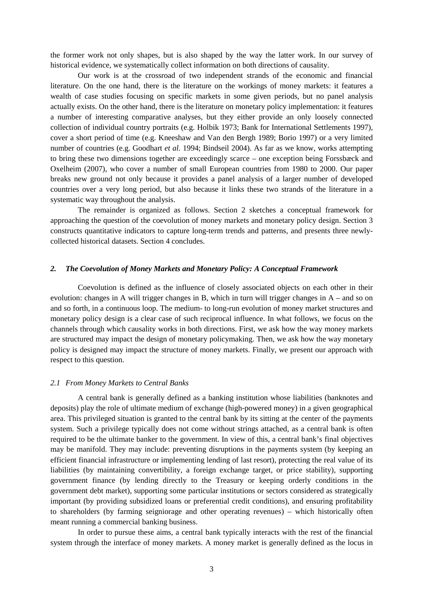the former work not only shapes, but is also shaped by the way the latter work. In our survey of historical evidence, we systematically collect information on both directions of causality.

Our work is at the crossroad of two independent strands of the economic and financial literature. On the one hand, there is the literature on the workings of money markets: it features a wealth of case studies focusing on specific markets in some given periods, but no panel analysis actually exists. On the other hand, there is the literature on monetary policy implementation: it features a number of interesting comparative analyses, but they either provide an only loosely connected collection of individual country portraits (e.g. Holbik 1973; Bank for International Settlements 1997), cover a short period of time (e.g. Kneeshaw and Van den Bergh 1989; Borio 1997) or a very limited number of countries (e.g. Goodhart *et al.* 1994; Bindseil 2004). As far as we know, works attempting to bring these two dimensions together are exceedingly scarce – one exception being Forssbæck and Oxelheim (2007), who cover a number of small European countries from 1980 to 2000. Our paper breaks new ground not only because it provides a panel analysis of a larger number of developed countries over a very long period, but also because it links these two strands of the literature in a systematic way throughout the analysis.

The remainder is organized as follows. Section 2 sketches a conceptual framework for approaching the question of the coevolution of money markets and monetary policy design. Section 3 constructs quantitative indicators to capture long-term trends and patterns, and presents three newlycollected historical datasets. Section 4 concludes.

#### *2. The Coevolution of Money Markets and Monetary Policy: A Conceptual Framework*

Coevolution is defined as the influence of closely associated objects on each other in their evolution: changes in A will trigger changes in B, which in turn will trigger changes in A – and so on and so forth, in a continuous loop. The medium- to long-run evolution of money market structures and monetary policy design is a clear case of such reciprocal influence. In what follows, we focus on the channels through which causality works in both directions. First, we ask how the way money markets are structured may impact the design of monetary policymaking. Then, we ask how the way monetary policy is designed may impact the structure of money markets. Finally, we present our approach with respect to this question.

#### *2.1 From Money Markets to Central Banks*

A central bank is generally defined as a banking institution whose liabilities (banknotes and deposits) play the role of ultimate medium of exchange (high-powered money) in a given geographical area. This privileged situation is granted to the central bank by its sitting at the center of the payments system. Such a privilege typically does not come without strings attached, as a central bank is often required to be the ultimate banker to the government. In view of this, a central bank's final objectives may be manifold. They may include: preventing disruptions in the payments system (by keeping an efficient financial infrastructure or implementing lending of last resort), protecting the real value of its liabilities (by maintaining convertibility, a foreign exchange target, or price stability), supporting government finance (by lending directly to the Treasury or keeping orderly conditions in the government debt market), supporting some particular institutions or sectors considered as strategically important (by providing subsidized loans or preferential credit conditions), and ensuring profitability to shareholders (by farming seigniorage and other operating revenues) – which historically often meant running a commercial banking business.

In order to pursue these aims, a central bank typically interacts with the rest of the financial system through the interface of money markets. A money market is generally defined as the locus in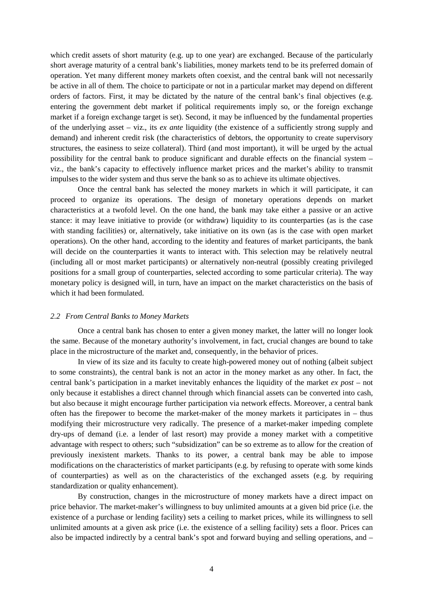which credit assets of short maturity (e.g. up to one year) are exchanged. Because of the particularly short average maturity of a central bank's liabilities, money markets tend to be its preferred domain of operation. Yet many different money markets often coexist, and the central bank will not necessarily be active in all of them. The choice to participate or not in a particular market may depend on different orders of factors. First, it may be dictated by the nature of the central bank's final objectives (e.g. entering the government debt market if political requirements imply so, or the foreign exchange market if a foreign exchange target is set). Second, it may be influenced by the fundamental properties of the underlying asset – viz., its *ex ante* liquidity (the existence of a sufficiently strong supply and demand) and inherent credit risk (the characteristics of debtors, the opportunity to create supervisory structures, the easiness to seize collateral). Third (and most important), it will be urged by the actual possibility for the central bank to produce significant and durable effects on the financial system – viz., the bank's capacity to effectively influence market prices and the market's ability to transmit impulses to the wider system and thus serve the bank so as to achieve its ultimate objectives.

Once the central bank has selected the money markets in which it will participate, it can proceed to organize its operations. The design of monetary operations depends on market characteristics at a twofold level. On the one hand, the bank may take either a passive or an active stance: it may leave initiative to provide (or withdraw) liquidity to its counterparties (as is the case with standing facilities) or, alternatively, take initiative on its own (as is the case with open market operations). On the other hand, according to the identity and features of market participants, the bank will decide on the counterparties it wants to interact with. This selection may be relatively neutral (including all or most market participants) or alternatively non-neutral (possibly creating privileged positions for a small group of counterparties, selected according to some particular criteria). The way monetary policy is designed will, in turn, have an impact on the market characteristics on the basis of which it had been formulated.

#### *2.2 From Central Banks to Money Markets*

Once a central bank has chosen to enter a given money market, the latter will no longer look the same. Because of the monetary authority's involvement, in fact, crucial changes are bound to take place in the microstructure of the market and, consequently, in the behavior of prices.

In view of its size and its faculty to create high-powered money out of nothing (albeit subject to some constraints), the central bank is not an actor in the money market as any other. In fact, the central bank's participation in a market inevitably enhances the liquidity of the market *ex post* – not only because it establishes a direct channel through which financial assets can be converted into cash, but also because it might encourage further participation via network effects. Moreover, a central bank often has the firepower to become the market-maker of the money markets it participates in – thus modifying their microstructure very radically. The presence of a market-maker impeding complete dry-ups of demand (i.e. a lender of last resort) may provide a money market with a competitive advantage with respect to others; such "subsidization" can be so extreme as to allow for the creation of previously inexistent markets. Thanks to its power, a central bank may be able to impose modifications on the characteristics of market participants (e.g. by refusing to operate with some kinds of counterparties) as well as on the characteristics of the exchanged assets (e.g. by requiring standardization or quality enhancement).

By construction, changes in the microstructure of money markets have a direct impact on price behavior. The market-maker's willingness to buy unlimited amounts at a given bid price (i.e. the existence of a purchase or lending facility) sets a ceiling to market prices, while its willingness to sell unlimited amounts at a given ask price (i.e. the existence of a selling facility) sets a floor. Prices can also be impacted indirectly by a central bank's spot and forward buying and selling operations, and –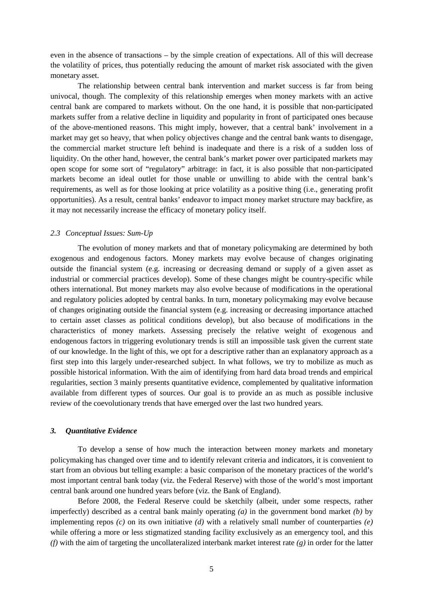even in the absence of transactions – by the simple creation of expectations. All of this will decrease the volatility of prices, thus potentially reducing the amount of market risk associated with the given monetary asset.

The relationship between central bank intervention and market success is far from being univocal, though. The complexity of this relationship emerges when money markets with an active central bank are compared to markets without. On the one hand, it is possible that non-participated markets suffer from a relative decline in liquidity and popularity in front of participated ones because of the above-mentioned reasons. This might imply, however, that a central bank' involvement in a market may get so heavy, that when policy objectives change and the central bank wants to disengage, the commercial market structure left behind is inadequate and there is a risk of a sudden loss of liquidity. On the other hand, however, the central bank's market power over participated markets may open scope for some sort of "regulatory" arbitrage: in fact, it is also possible that non-participated markets become an ideal outlet for those unable or unwilling to abide with the central bank's requirements, as well as for those looking at price volatility as a positive thing (i.e., generating profit opportunities). As a result, central banks' endeavor to impact money market structure may backfire, as it may not necessarily increase the efficacy of monetary policy itself.

#### *2.3 Conceptual Issues: Sum-Up*

The evolution of money markets and that of monetary policymaking are determined by both exogenous and endogenous factors. Money markets may evolve because of changes originating outside the financial system (e.g. increasing or decreasing demand or supply of a given asset as industrial or commercial practices develop). Some of these changes might be country-specific while others international. But money markets may also evolve because of modifications in the operational and regulatory policies adopted by central banks. In turn, monetary policymaking may evolve because of changes originating outside the financial system (e.g. increasing or decreasing importance attached to certain asset classes as political conditions develop), but also because of modifications in the characteristics of money markets. Assessing precisely the relative weight of exogenous and endogenous factors in triggering evolutionary trends is still an impossible task given the current state of our knowledge. In the light of this, we opt for a descriptive rather than an explanatory approach as a first step into this largely under-researched subject. In what follows, we try to mobilize as much as possible historical information. With the aim of identifying from hard data broad trends and empirical regularities, section 3 mainly presents quantitative evidence, complemented by qualitative information available from different types of sources. Our goal is to provide an as much as possible inclusive review of the coevolutionary trends that have emerged over the last two hundred years.

#### *3. Quantitative Evidence*

To develop a sense of how much the interaction between money markets and monetary policymaking has changed over time and to identify relevant criteria and indicators, it is convenient to start from an obvious but telling example: a basic comparison of the monetary practices of the world's most important central bank today (viz. the Federal Reserve) with those of the world's most important central bank around one hundred years before (viz. the Bank of England).

Before 2008, the Federal Reserve could be sketchily (albeit, under some respects, rather imperfectly) described as a central bank mainly operating *(a)* in the government bond market *(b)* by implementing repos  $(c)$  on its own initiative  $(d)$  with a relatively small number of counterparties  $(e)$ while offering a more or less stigmatized standing facility exclusively as an emergency tool, and this *(f)* with the aim of targeting the uncollateralized interbank market interest rate *(g)* in order for the latter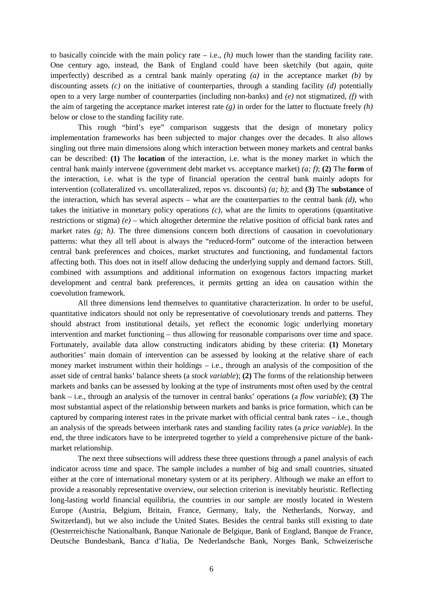to basically coincide with the main policy rate  $-$  i.e.,  $(h)$  much lower than the standing facility rate. One century ago, instead, the Bank of England could have been sketchily (but again, quite imperfectly) described as a central bank mainly operating *(a)* in the acceptance market *(b)* by discounting assets *(c)* on the initiative of counterparties, through a standing facility *(d)* potentially open to a very large number of counterparties (including non-banks) and *(e)* not stigmatized, *(f)* with the aim of targeting the acceptance market interest rate *(g)* in order for the latter to fluctuate freely *(h)* below or close to the standing facility rate.

This rough "bird's eye" comparison suggests that the design of monetary policy implementation frameworks has been subjected to major changes over the decades. It also allows singling out three main dimensions along which interaction between money markets and central banks can be described: **(1)** The **location** of the interaction, i.e. what is the money market in which the central bank mainly intervene (government debt market vs. acceptance market) *(a; f)*; **(2)** The **form** of the interaction, i.e. what is the type of financial operation the central bank mainly adopts for intervention (collateralized vs. uncollateralized, repos vs. discounts) *(a; b)*; and **(3)** The **substance** of the interaction, which has several aspects – what are the counterparties to the central bank *(d)*, who takes the initiative in monetary policy operations *(c)*, what are the limits to operations (quantitative restrictions or stigma) *(e)* – which altogether determine the relative position of official bank rates and market rates *(g; h)*. The three dimensions concern both directions of causation in coevolutionary patterns: what they all tell about is always the "reduced-form" outcome of the interaction between central bank preferences and choices, market structures and functioning, and fundamental factors affecting both. This does not in itself allow deducing the underlying supply and demand factors. Still, combined with assumptions and additional information on exogenous factors impacting market development and central bank preferences, it permits getting an idea on causation within the coevolution framework.

All three dimensions lend themselves to quantitative characterization. In order to be useful, quantitative indicators should not only be representative of coevolutionary trends and patterns. They should abstract from institutional details, yet reflect the economic logic underlying monetary intervention and market functioning – thus allowing for reasonable comparisons over time and space. Fortunately, available data allow constructing indicators abiding by these criteria: **(1)** Monetary authorities' main domain of intervention can be assessed by looking at the relative share of each money market instrument within their holdings – i.e., through an analysis of the composition of the asset side of central banks' balance sheets (a *stock variable*); **(2)** The forms of the relationship between markets and banks can be assessed by looking at the type of instruments most often used by the central bank – i.e., through an analysis of the turnover in central banks' operations (a *flow variable*); **(3)** The most substantial aspect of the relationship between markets and banks is price formation, which can be captured by comparing interest rates in the private market with official central bank rates – i.e., though an analysis of the spreads between interbank rates and standing facility rates (a *price variable*). In the end, the three indicators have to be interpreted together to yield a comprehensive picture of the bankmarket relationship.

The next three subsections will address these three questions through a panel analysis of each indicator across time and space. The sample includes a number of big and small countries, situated either at the core of international monetary system or at its periphery. Although we make an effort to provide a reasonably representative overview, our selection criterion is inevitably heuristic. Reflecting long-lasting world financial equilibria, the countries in our sample are mostly located in Western Europe (Austria, Belgium, Britain, France, Germany, Italy, the Netherlands, Norway, and Switzerland), but we also include the United States. Besides the central banks still existing to date (Oesterreichische Nationalbank, Banque Nationale de Belgique, Bank of England, Banque de France, Deutsche Bundesbank, Banca d'Italia, De Nederlandsche Bank, Norges Bank, Schweizerische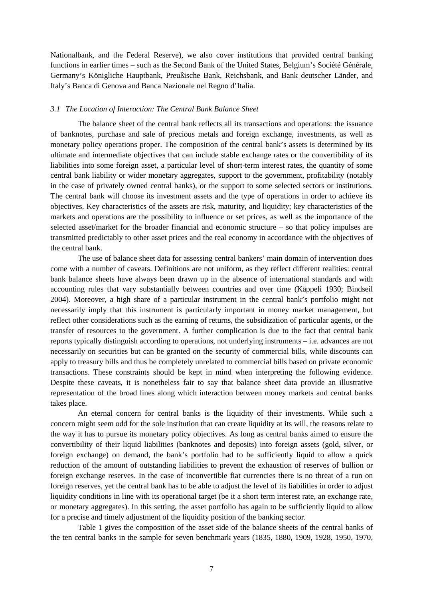Nationalbank, and the Federal Reserve), we also cover institutions that provided central banking functions in earlier times – such as the Second Bank of the United States, Belgium's Société Générale, Germany's Königliche Hauptbank, Preußische Bank, Reichsbank, and Bank deutscher Länder, and Italy's Banca di Genova and Banca Nazionale nel Regno d'Italia.

#### *3.1 The Location of Interaction: The Central Bank Balance Sheet*

The balance sheet of the central bank reflects all its transactions and operations: the issuance of banknotes, purchase and sale of precious metals and foreign exchange, investments, as well as monetary policy operations proper. The composition of the central bank's assets is determined by its ultimate and intermediate objectives that can include stable exchange rates or the convertibility of its liabilities into some foreign asset, a particular level of short-term interest rates, the quantity of some central bank liability or wider monetary aggregates, support to the government, profitability (notably in the case of privately owned central banks), or the support to some selected sectors or institutions. The central bank will choose its investment assets and the type of operations in order to achieve its objectives. Key characteristics of the assets are risk, maturity, and liquidity; key characteristics of the markets and operations are the possibility to influence or set prices, as well as the importance of the selected asset/market for the broader financial and economic structure – so that policy impulses are transmitted predictably to other asset prices and the real economy in accordance with the objectives of the central bank.

The use of balance sheet data for assessing central bankers' main domain of intervention does come with a number of caveats. Definitions are not uniform, as they reflect different realities: central bank balance sheets have always been drawn up in the absence of international standards and with accounting rules that vary substantially between countries and over time (Käppeli 1930; Bindseil 2004). Moreover, a high share of a particular instrument in the central bank's portfolio might not necessarily imply that this instrument is particularly important in money market management, but reflect other considerations such as the earning of returns, the subsidization of particular agents, or the transfer of resources to the government. A further complication is due to the fact that central bank reports typically distinguish according to operations, not underlying instruments – i.e. advances are not necessarily on securities but can be granted on the security of commercial bills, while discounts can apply to treasury bills and thus be completely unrelated to commercial bills based on private economic transactions. These constraints should be kept in mind when interpreting the following evidence. Despite these caveats, it is nonetheless fair to say that balance sheet data provide an illustrative representation of the broad lines along which interaction between money markets and central banks takes place.

An eternal concern for central banks is the liquidity of their investments. While such a concern might seem odd for the sole institution that can create liquidity at its will, the reasons relate to the way it has to pursue its monetary policy objectives. As long as central banks aimed to ensure the convertibility of their liquid liabilities (banknotes and deposits) into foreign assets (gold, silver, or foreign exchange) on demand, the bank's portfolio had to be sufficiently liquid to allow a quick reduction of the amount of outstanding liabilities to prevent the exhaustion of reserves of bullion or foreign exchange reserves. In the case of inconvertible fiat currencies there is no threat of a run on foreign reserves, yet the central bank has to be able to adjust the level of its liabilities in order to adjust liquidity conditions in line with its operational target (be it a short term interest rate, an exchange rate, or monetary aggregates). In this setting, the asset portfolio has again to be sufficiently liquid to allow for a precise and timely adjustment of the liquidity position of the banking sector.

Table 1 gives the composition of the asset side of the balance sheets of the central banks of the ten central banks in the sample for seven benchmark years (1835, 1880, 1909, 1928, 1950, 1970,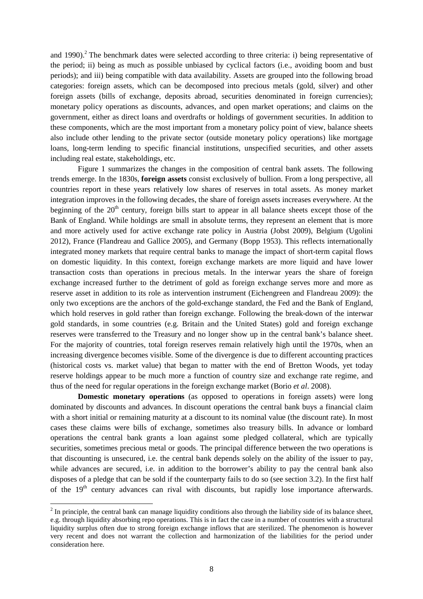and 1990).<sup>2</sup> The benchmark dates were selected according to three criteria: i) being representative of the period; ii) being as much as possible unbiased by cyclical factors (i.e., avoiding boom and bust periods); and iii) being compatible with data availability. Assets are grouped into the following broad categories: foreign assets, which can be decomposed into precious metals (gold, silver) and other foreign assets (bills of exchange, deposits abroad, securities denominated in foreign currencies); monetary policy operations as discounts, advances, and open market operations; and claims on the government, either as direct loans and overdrafts or holdings of government securities. In addition to these components, which are the most important from a monetary policy point of view, balance sheets also include other lending to the private sector (outside monetary policy operations) like mortgage loans, long-term lending to specific financial institutions, unspecified securities, and other assets including real estate, stakeholdings, etc.

Figure 1 summarizes the changes in the composition of central bank assets. The following trends emerge. In the 1830s, **foreign assets** consist exclusively of bullion. From a long perspective, all countries report in these years relatively low shares of reserves in total assets. As money market integration improves in the following decades, the share of foreign assets increases everywhere. At the beginning of the  $20<sup>th</sup>$  century, foreign bills start to appear in all balance sheets except those of the Bank of England. While holdings are small in absolute terms, they represent an element that is more and more actively used for active exchange rate policy in Austria (Jobst 2009), Belgium (Ugolini 2012), France (Flandreau and Gallice 2005), and Germany (Bopp 1953). This reflects internationally integrated money markets that require central banks to manage the impact of short-term capital flows on domestic liquidity. In this context, foreign exchange markets are more liquid and have lower transaction costs than operations in precious metals. In the interwar years the share of foreign exchange increased further to the detriment of gold as foreign exchange serves more and more as reserve asset in addition to its role as intervention instrument (Eichengreen and Flandreau 2009): the only two exceptions are the anchors of the gold-exchange standard, the Fed and the Bank of England, which hold reserves in gold rather than foreign exchange. Following the break-down of the interwar gold standards, in some countries (e.g. Britain and the United States) gold and foreign exchange reserves were transferred to the Treasury and no longer show up in the central bank's balance sheet. For the majority of countries, total foreign reserves remain relatively high until the 1970s, when an increasing divergence becomes visible. Some of the divergence is due to different accounting practices (historical costs vs. market value) that began to matter with the end of Bretton Woods, yet today reserve holdings appear to be much more a function of country size and exchange rate regime, and thus of the need for regular operations in the foreign exchange market (Borio *et al*. 2008).

**Domestic monetary operations** (as opposed to operations in foreign assets) were long dominated by discounts and advances. In discount operations the central bank buys a financial claim with a short initial or remaining maturity at a discount to its nominal value (the discount rate). In most cases these claims were bills of exchange, sometimes also treasury bills. In advance or lombard operations the central bank grants a loan against some pledged collateral, which are typically securities, sometimes precious metal or goods. The principal difference between the two operations is that discounting is unsecured, i.e. the central bank depends solely on the ability of the issuer to pay, while advances are secured, i.e. in addition to the borrower's ability to pay the central bank also disposes of a pledge that can be sold if the counterparty fails to do so (see section 3.2). In the first half of the  $19<sup>th</sup>$  century advances can rival with discounts, but rapidly lose importance afterwards.

 $\overline{a}$ 

 $2^{2}$  In principle, the central bank can manage liquidity conditions also through the liability side of its balance sheet, e.g. through liquidity absorbing repo operations. This is in fact the case in a number of countries with a structural liquidity surplus often due to strong foreign exchange inflows that are sterilized. The phenomenon is however very recent and does not warrant the collection and harmonization of the liabilities for the period under consideration here.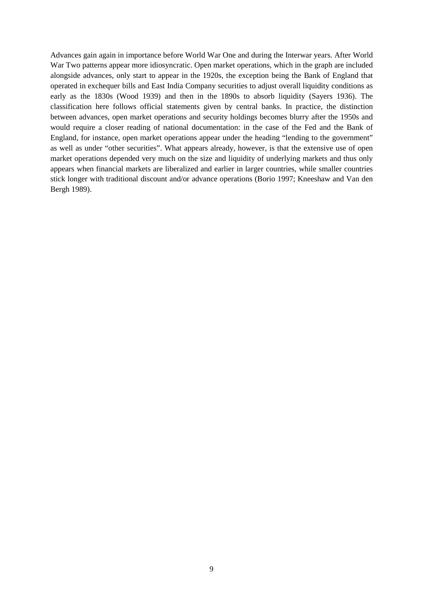Advances gain again in importance before World War One and during the Interwar years. After World War Two patterns appear more idiosyncratic. Open market operations, which in the graph are included alongside advances, only start to appear in the 1920s, the exception being the Bank of England that operated in exchequer bills and East India Company securities to adjust overall liquidity conditions as early as the 1830s (Wood 1939) and then in the 1890s to absorb liquidity (Sayers 1936). The classification here follows official statements given by central banks. In practice, the distinction between advances, open market operations and security holdings becomes blurry after the 1950s and would require a closer reading of national documentation: in the case of the Fed and the Bank of England, for instance, open market operations appear under the heading "lending to the government" as well as under "other securities". What appears already, however, is that the extensive use of open market operations depended very much on the size and liquidity of underlying markets and thus only appears when financial markets are liberalized and earlier in larger countries, while smaller countries stick longer with traditional discount and/or advance operations (Borio 1997; Kneeshaw and Van den Bergh 1989).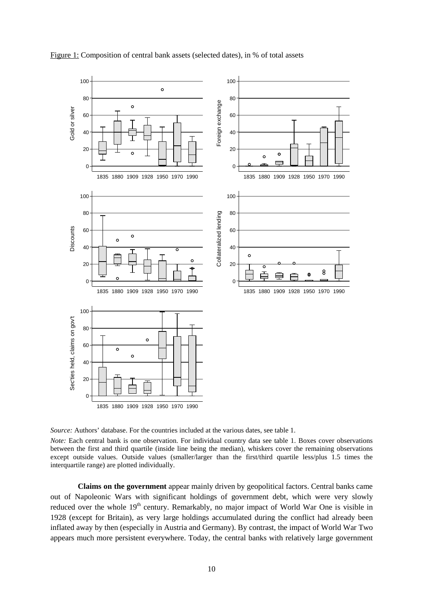

Figure 1: Composition of central bank assets (selected dates), in % of total assets

*Source:* Authors' database. For the countries included at the various dates, see table 1.

*Note:* Each central bank is one observation. For individual country data see table 1. Boxes cover observations between the first and third quartile (inside line being the median), whiskers cover the remaining observations except outside values. Outside values (smaller/larger than the first/third quartile less/plus 1.5 times the interquartile range) are plotted individually.

**Claims on the government** appear mainly driven by geopolitical factors. Central banks came out of Napoleonic Wars with significant holdings of government debt, which were very slowly reduced over the whole 19<sup>th</sup> century. Remarkably, no major impact of World War One is visible in 1928 (except for Britain), as very large holdings accumulated during the conflict had already been inflated away by then (especially in Austria and Germany). By contrast, the impact of World War Two appears much more persistent everywhere. Today, the central banks with relatively large government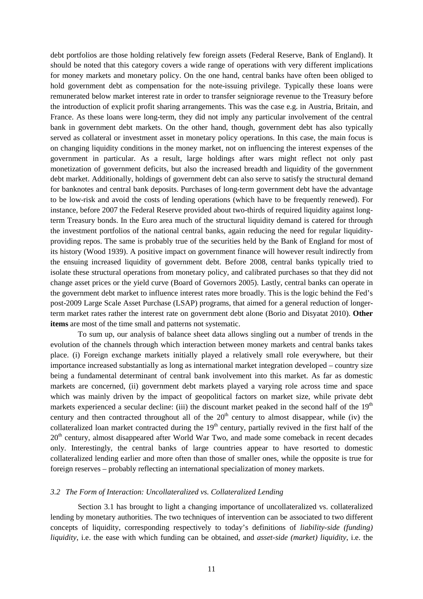debt portfolios are those holding relatively few foreign assets (Federal Reserve, Bank of England). It should be noted that this category covers a wide range of operations with very different implications for money markets and monetary policy. On the one hand, central banks have often been obliged to hold government debt as compensation for the note-issuing privilege. Typically these loans were remunerated below market interest rate in order to transfer seigniorage revenue to the Treasury before the introduction of explicit profit sharing arrangements. This was the case e.g. in Austria, Britain, and France. As these loans were long-term, they did not imply any particular involvement of the central bank in government debt markets. On the other hand, though, government debt has also typically served as collateral or investment asset in monetary policy operations. In this case, the main focus is on changing liquidity conditions in the money market, not on influencing the interest expenses of the government in particular. As a result, large holdings after wars might reflect not only past monetization of government deficits, but also the increased breadth and liquidity of the government debt market. Additionally, holdings of government debt can also serve to satisfy the structural demand for banknotes and central bank deposits. Purchases of long-term government debt have the advantage to be low-risk and avoid the costs of lending operations (which have to be frequently renewed). For instance, before 2007 the Federal Reserve provided about two-thirds of required liquidity against longterm Treasury bonds. In the Euro area much of the structural liquidity demand is catered for through the investment portfolios of the national central banks, again reducing the need for regular liquidityproviding repos. The same is probably true of the securities held by the Bank of England for most of its history (Wood 1939). A positive impact on government finance will however result indirectly from the ensuing increased liquidity of government debt. Before 2008, central banks typically tried to isolate these structural operations from monetary policy, and calibrated purchases so that they did not change asset prices or the yield curve (Board of Governors 2005). Lastly, central banks can operate in the government debt market to influence interest rates more broadly. This is the logic behind the Fed's post-2009 Large Scale Asset Purchase (LSAP) programs, that aimed for a general reduction of longerterm market rates rather the interest rate on government debt alone (Borio and Disyatat 2010). **Other items** are most of the time small and patterns not systematic.

To sum up, our analysis of balance sheet data allows singling out a number of trends in the evolution of the channels through which interaction between money markets and central banks takes place. (i) Foreign exchange markets initially played a relatively small role everywhere, but their importance increased substantially as long as international market integration developed – country size being a fundamental determinant of central bank involvement into this market. As far as domestic markets are concerned, (ii) government debt markets played a varying role across time and space which was mainly driven by the impact of geopolitical factors on market size, while private debt markets experienced a secular decline: (iii) the discount market peaked in the second half of the 19<sup>th</sup> century and then contracted throughout all of the  $20<sup>th</sup>$  century to almost disappear, while (iv) the collateralized loan market contracted during the  $19<sup>th</sup>$  century, partially revived in the first half of the 20<sup>th</sup> century, almost disappeared after World War Two, and made some comeback in recent decades only. Interestingly, the central banks of large countries appear to have resorted to domestic collateralized lending earlier and more often than those of smaller ones, while the opposite is true for foreign reserves – probably reflecting an international specialization of money markets.

#### *3.2 The Form of Interaction: Uncollateralized vs. Collateralized Lending*

Section 3.1 has brought to light a changing importance of uncollateralized vs. collateralized lending by monetary authorities. The two techniques of intervention can be associated to two different concepts of liquidity, corresponding respectively to today's definitions of *liability-side (funding) liquidity*, i.e. the ease with which funding can be obtained, and *asset-side (market) liquidity*, i.e. the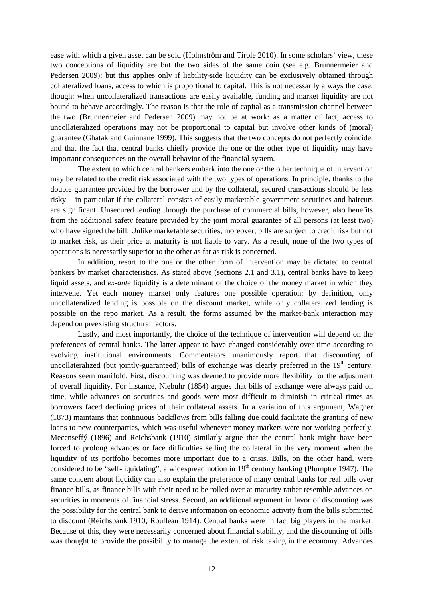ease with which a given asset can be sold (Holmström and Tirole 2010). In some scholars' view, these two conceptions of liquidity are but the two sides of the same coin (see e.g. Brunnermeier and Pedersen 2009): but this applies only if liability-side liquidity can be exclusively obtained through collateralized loans, access to which is proportional to capital. This is not necessarily always the case, though: when uncollateralized transactions are easily available, funding and market liquidity are not bound to behave accordingly. The reason is that the role of capital as a transmission channel between the two (Brunnermeier and Pedersen 2009) may not be at work: as a matter of fact, access to uncollateralized operations may not be proportional to capital but involve other kinds of (moral) guarantee (Ghatak and Guinnane 1999). This suggests that the two concepts do not perfectly coincide, and that the fact that central banks chiefly provide the one or the other type of liquidity may have important consequences on the overall behavior of the financial system.

The extent to which central bankers embark into the one or the other technique of intervention may be related to the credit risk associated with the two types of operations. In principle, thanks to the double guarantee provided by the borrower and by the collateral, secured transactions should be less risky – in particular if the collateral consists of easily marketable government securities and haircuts are significant. Unsecured lending through the purchase of commercial bills, however, also benefits from the additional safety feature provided by the joint moral guarantee of all persons (at least two) who have signed the bill. Unlike marketable securities, moreover, bills are subject to credit risk but not to market risk, as their price at maturity is not liable to vary. As a result, none of the two types of operations is necessarily superior to the other as far as risk is concerned.

In addition, resort to the one or the other form of intervention may be dictated to central bankers by market characteristics. As stated above (sections 2.1 and 3.1), central banks have to keep liquid assets, and *ex-ante* liquidity is a determinant of the choice of the money market in which they intervene. Yet each money market only features one possible operation: by definition, only uncollateralized lending is possible on the discount market, while only collateralized lending is possible on the repo market. As a result, the forms assumed by the market-bank interaction may depend on preexisting structural factors.

Lastly, and most importantly, the choice of the technique of intervention will depend on the preferences of central banks. The latter appear to have changed considerably over time according to evolving institutional environments. Commentators unanimously report that discounting of uncollateralized (but jointly-guaranteed) bills of exchange was clearly preferred in the  $19<sup>th</sup>$  century. Reasons seem manifold. First, discounting was deemed to provide more flexibility for the adjustment of overall liquidity. For instance, Niebuhr (1854) argues that bills of exchange were always paid on time, while advances on securities and goods were most difficult to diminish in critical times as borrowers faced declining prices of their collateral assets. In a variation of this argument, Wagner (1873) maintains that continuous backflows from bills falling due could facilitate the granting of new loans to new counterparties, which was useful whenever money markets were not working perfectly. Mecenseffý (1896) and Reichsbank (1910) similarly argue that the central bank might have been forced to prolong advances or face difficulties selling the collateral in the very moment when the liquidity of its portfolio becomes more important due to a crisis. Bills, on the other hand, were considered to be "self-liquidating", a widespread notion in  $19<sup>th</sup>$  century banking (Plumptre 1947). The same concern about liquidity can also explain the preference of many central banks for real bills over finance bills, as finance bills with their need to be rolled over at maturity rather resemble advances on securities in moments of financial stress. Second, an additional argument in favor of discounting was the possibility for the central bank to derive information on economic activity from the bills submitted to discount (Reichsbank 1910; Roulleau 1914). Central banks were in fact big players in the market. Because of this, they were necessarily concerned about financial stability, and the discounting of bills was thought to provide the possibility to manage the extent of risk taking in the economy. Advances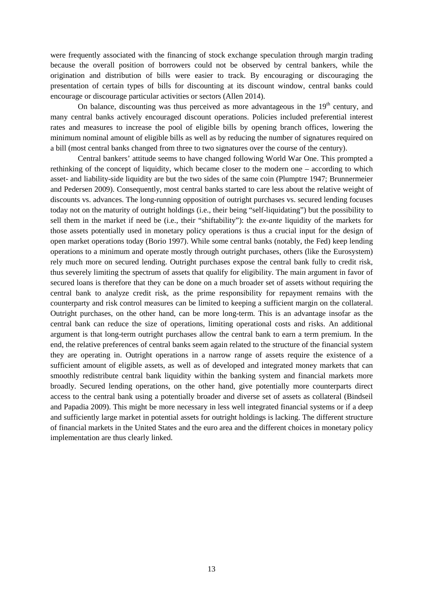were frequently associated with the financing of stock exchange speculation through margin trading because the overall position of borrowers could not be observed by central bankers, while the origination and distribution of bills were easier to track. By encouraging or discouraging the presentation of certain types of bills for discounting at its discount window, central banks could encourage or discourage particular activities or sectors (Allen 2014).

On balance, discounting was thus perceived as more advantageous in the  $19<sup>th</sup>$  century, and many central banks actively encouraged discount operations. Policies included preferential interest rates and measures to increase the pool of eligible bills by opening branch offices, lowering the minimum nominal amount of eligible bills as well as by reducing the number of signatures required on a bill (most central banks changed from three to two signatures over the course of the century).

Central bankers' attitude seems to have changed following World War One. This prompted a rethinking of the concept of liquidity, which became closer to the modern one – according to which asset- and liability-side liquidity are but the two sides of the same coin (Plumptre 1947; Brunnermeier and Pedersen 2009). Consequently, most central banks started to care less about the relative weight of discounts vs. advances. The long-running opposition of outright purchases vs. secured lending focuses today not on the maturity of outright holdings (i.e., their being "self-liquidating") but the possibility to sell them in the market if need be (i.e., their "shiftability"): the *ex-ante* liquidity of the markets for those assets potentially used in monetary policy operations is thus a crucial input for the design of open market operations today (Borio 1997). While some central banks (notably, the Fed) keep lending operations to a minimum and operate mostly through outright purchases, others (like the Eurosystem) rely much more on secured lending. Outright purchases expose the central bank fully to credit risk, thus severely limiting the spectrum of assets that qualify for eligibility. The main argument in favor of secured loans is therefore that they can be done on a much broader set of assets without requiring the central bank to analyze credit risk, as the prime responsibility for repayment remains with the counterparty and risk control measures can be limited to keeping a sufficient margin on the collateral. Outright purchases, on the other hand, can be more long-term. This is an advantage insofar as the central bank can reduce the size of operations, limiting operational costs and risks. An additional argument is that long-term outright purchases allow the central bank to earn a term premium. In the end, the relative preferences of central banks seem again related to the structure of the financial system they are operating in. Outright operations in a narrow range of assets require the existence of a sufficient amount of eligible assets, as well as of developed and integrated money markets that can smoothly redistribute central bank liquidity within the banking system and financial markets more broadly. Secured lending operations, on the other hand, give potentially more counterparts direct access to the central bank using a potentially broader and diverse set of assets as collateral (Bindseil and Papadia 2009). This might be more necessary in less well integrated financial systems or if a deep and sufficiently large market in potential assets for outright holdings is lacking. The different structure of financial markets in the United States and the euro area and the different choices in monetary policy implementation are thus clearly linked.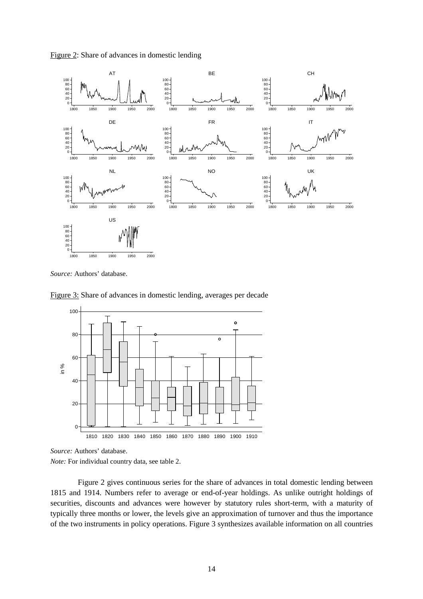



*Source:* Authors' database.

Figure 3: Share of advances in domestic lending, averages per decade



*Source:* Authors' database.

*Note:* For individual country data, see table 2.

Figure 2 gives continuous series for the share of advances in total domestic lending between 1815 and 1914. Numbers refer to average or end-of-year holdings. As unlike outright holdings of securities, discounts and advances were however by statutory rules short-term, with a maturity of typically three months or lower, the levels give an approximation of turnover and thus the importance of the two instruments in policy operations. Figure 3 synthesizes available information on all countries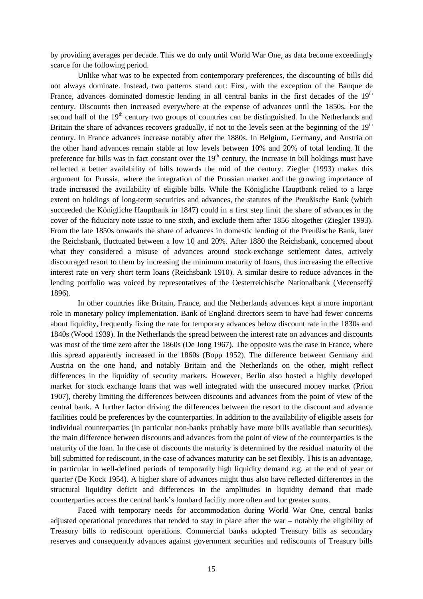by providing averages per decade. This we do only until World War One, as data become exceedingly scarce for the following period.

Unlike what was to be expected from contemporary preferences, the discounting of bills did not always dominate. Instead, two patterns stand out: First, with the exception of the Banque de France, advances dominated domestic lending in all central banks in the first decades of the  $19<sup>th</sup>$ century. Discounts then increased everywhere at the expense of advances until the 1850s. For the second half of the  $19<sup>th</sup>$  century two groups of countries can be distinguished. In the Netherlands and Britain the share of advances recovers gradually, if not to the levels seen at the beginning of the 19<sup>th</sup> century. In France advances increase notably after the 1880s. In Belgium, Germany, and Austria on the other hand advances remain stable at low levels between 10% and 20% of total lending. If the preference for bills was in fact constant over the  $19<sup>th</sup>$  century, the increase in bill holdings must have reflected a better availability of bills towards the mid of the century. Ziegler (1993) makes this argument for Prussia, where the integration of the Prussian market and the growing importance of trade increased the availability of eligible bills. While the Königliche Hauptbank relied to a large extent on holdings of long-term securities and advances, the statutes of the Preußische Bank (which succeeded the Königliche Hauptbank in 1847) could in a first step limit the share of advances in the cover of the fiduciary note issue to one sixth, and exclude them after 1856 altogether (Ziegler 1993). From the late 1850s onwards the share of advances in domestic lending of the Preußische Bank, later the Reichsbank, fluctuated between a low 10 and 20%. After 1880 the Reichsbank, concerned about what they considered a misuse of advances around stock-exchange settlement dates, actively discouraged resort to them by increasing the minimum maturity of loans, thus increasing the effective interest rate on very short term loans (Reichsbank 1910). A similar desire to reduce advances in the lending portfolio was voiced by representatives of the Oesterreichische Nationalbank (Mecenseffý 1896).

In other countries like Britain, France, and the Netherlands advances kept a more important role in monetary policy implementation. Bank of England directors seem to have had fewer concerns about liquidity, frequently fixing the rate for temporary advances below discount rate in the 1830s and 1840s (Wood 1939). In the Netherlands the spread between the interest rate on advances and discounts was most of the time zero after the 1860s (De Jong 1967). The opposite was the case in France, where this spread apparently increased in the 1860s (Bopp 1952). The difference between Germany and Austria on the one hand, and notably Britain and the Netherlands on the other, might reflect differences in the liquidity of security markets. However, Berlin also hosted a highly developed market for stock exchange loans that was well integrated with the unsecured money market (Prion 1907), thereby limiting the differences between discounts and advances from the point of view of the central bank. A further factor driving the differences between the resort to the discount and advance facilities could be preferences by the counterparties. In addition to the availability of eligible assets for individual counterparties (in particular non-banks probably have more bills available than securities), the main difference between discounts and advances from the point of view of the counterparties is the maturity of the loan. In the case of discounts the maturity is determined by the residual maturity of the bill submitted for rediscount, in the case of advances maturity can be set flexibly. This is an advantage, in particular in well-defined periods of temporarily high liquidity demand e.g. at the end of year or quarter (De Kock 1954). A higher share of advances might thus also have reflected differences in the structural liquidity deficit and differences in the amplitudes in liquidity demand that made counterparties access the central bank's lombard facility more often and for greater sums.

Faced with temporary needs for accommodation during World War One, central banks adjusted operational procedures that tended to stay in place after the war – notably the eligibility of Treasury bills to rediscount operations. Commercial banks adopted Treasury bills as secondary reserves and consequently advances against government securities and rediscounts of Treasury bills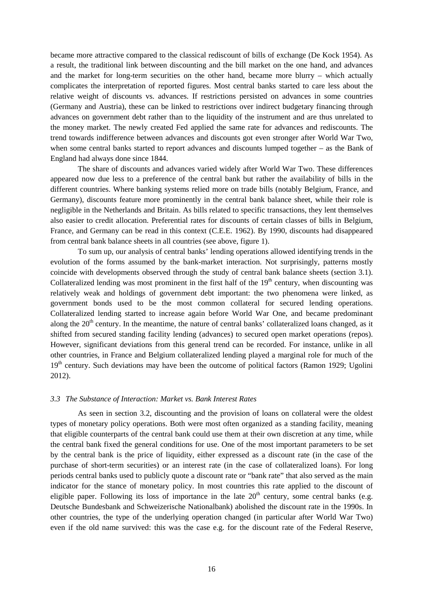became more attractive compared to the classical rediscount of bills of exchange (De Kock 1954). As a result, the traditional link between discounting and the bill market on the one hand, and advances and the market for long-term securities on the other hand, became more blurry – which actually complicates the interpretation of reported figures. Most central banks started to care less about the relative weight of discounts vs. advances. If restrictions persisted on advances in some countries (Germany and Austria), these can be linked to restrictions over indirect budgetary financing through advances on government debt rather than to the liquidity of the instrument and are thus unrelated to the money market. The newly created Fed applied the same rate for advances and rediscounts. The trend towards indifference between advances and discounts got even stronger after World War Two, when some central banks started to report advances and discounts lumped together – as the Bank of England had always done since 1844.

The share of discounts and advances varied widely after World War Two. These differences appeared now due less to a preference of the central bank but rather the availability of bills in the different countries. Where banking systems relied more on trade bills (notably Belgium, France, and Germany), discounts feature more prominently in the central bank balance sheet, while their role is negligible in the Netherlands and Britain. As bills related to specific transactions, they lent themselves also easier to credit allocation. Preferential rates for discounts of certain classes of bills in Belgium, France, and Germany can be read in this context (C.E.E. 1962). By 1990, discounts had disappeared from central bank balance sheets in all countries (see above, figure 1).

To sum up, our analysis of central banks' lending operations allowed identifying trends in the evolution of the forms assumed by the bank-market interaction. Not surprisingly, patterns mostly coincide with developments observed through the study of central bank balance sheets (section 3.1). Collateralized lending was most prominent in the first half of the  $19<sup>th</sup>$  century, when discounting was relatively weak and holdings of government debt important: the two phenomena were linked, as government bonds used to be the most common collateral for secured lending operations. Collateralized lending started to increase again before World War One, and became predominant along the  $20<sup>th</sup>$  century. In the meantime, the nature of central banks' collateralized loans changed, as it shifted from secured standing facility lending (advances) to secured open market operations (repos). However, significant deviations from this general trend can be recorded. For instance, unlike in all other countries, in France and Belgium collateralized lending played a marginal role for much of the 19<sup>th</sup> century. Such deviations may have been the outcome of political factors (Ramon 1929; Ugolini 2012).

#### *3.3 The Substance of Interaction: Market vs. Bank Interest Rates*

As seen in section 3.2, discounting and the provision of loans on collateral were the oldest types of monetary policy operations. Both were most often organized as a standing facility, meaning that eligible counterparts of the central bank could use them at their own discretion at any time, while the central bank fixed the general conditions for use. One of the most important parameters to be set by the central bank is the price of liquidity, either expressed as a discount rate (in the case of the purchase of short-term securities) or an interest rate (in the case of collateralized loans). For long periods central banks used to publicly quote a discount rate or "bank rate" that also served as the main indicator for the stance of monetary policy. In most countries this rate applied to the discount of eligible paper. Following its loss of importance in the late  $20<sup>th</sup>$  century, some central banks (e.g. Deutsche Bundesbank and Schweizerische Nationalbank) abolished the discount rate in the 1990s. In other countries, the type of the underlying operation changed (in particular after World War Two) even if the old name survived: this was the case e.g. for the discount rate of the Federal Reserve,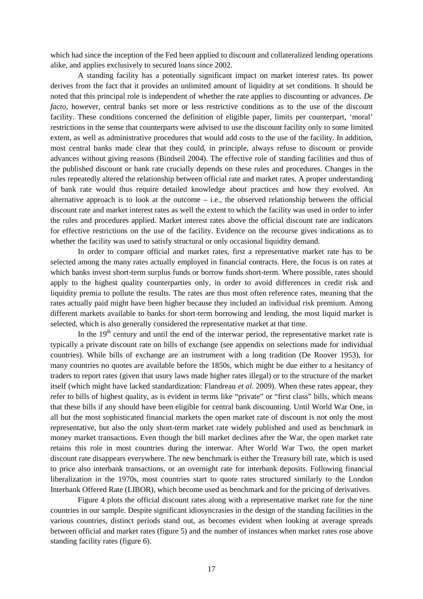which had since the inception of the Fed been applied to discount and collateralized lending operations alike, and applies exclusively to secured loans since 2002.

A standing facility has a potentially significant impact on market interest rates. Its power derives from the fact that it provides an unlimited amount of liquidity at set conditions. It should be noted that this principal role is independent of whether the rate applies to discounting or advances. *De facto*, however, central banks set more or less restrictive conditions as to the use of the discount facility. These conditions concerned the definition of eligible paper, limits per counterpart, 'moral' restrictions in the sense that counterparts were advised to use the discount facility only to some limited extent, as well as administrative procedures that would add costs to the use of the facility. In addition, most central banks made clear that they could, in principle, always refuse to discount or provide advances without giving reasons (Bindseil 2004). The effective role of standing facilities and thus of the published discount or bank rate crucially depends on these rules and procedures. Changes in the rules repeatedly altered the relationship between official rate and market rates. A proper understanding of bank rate would thus require detailed knowledge about practices and how they evolved. An alternative approach is to look at the outcome – i.e., the observed relationship between the official discount rate and market interest rates as well the extent to which the facility was used in order to infer the rules and procedures applied. Market interest rates above the official discount rate are indicators for effective restrictions on the use of the facility. Evidence on the recourse gives indications as to whether the facility was used to satisfy structural or only occasional liquidity demand.

In order to compare official and market rates, first a representative market rate has to be selected among the many rates actually employed in financial contracts. Here, the focus is on rates at which banks invest short-term surplus funds or borrow funds short-term. Where possible, rates should apply to the highest quality counterparties only, in order to avoid differences in credit risk and liquidity premia to pollute the results. The rates are thus most often reference rates, meaning that the rates actually paid might have been higher because they included an individual risk premium. Among different markets available to banks for short-term borrowing and lending, the most liquid market is selected, which is also generally considered the representative market at that time.

In the  $19<sup>th</sup>$  century and until the end of the interwar period, the representative market rate is typically a private discount rate on bills of exchange (see appendix on selections made for individual countries). While bills of exchange are an instrument with a long tradition (De Roover 1953), for many countries no quotes are available before the 1850s, which might be due either to a hesitancy of traders to report rates (given that usury laws made higher rates illegal) or to the structure of the market itself (which might have lacked standardization: Flandreau *et al.* 2009). When these rates appear, they refer to bills of highest quality, as is evident in terms like "private" or "first class" bills, which means that these bills if any should have been eligible for central bank discounting. Until World War One, in all but the most sophisticated financial markets the open market rate of discount is not only the most representative, but also the only short-term market rate widely published and used as benchmark in money market transactions. Even though the bill market declines after the War, the open market rate retains this role in most countries during the interwar. After World War Two, the open market discount rate disappears everywhere. The new benchmark is either the Treasury bill rate, which is used to price also interbank transactions, or an overnight rate for interbank deposits. Following financial liberalization in the 1970s, most countries start to quote rates structured similarly to the London Interbank Offered Rate (LIBOR), which become used as benchmark and for the pricing of derivatives.

Figure 4 plots the official discount rates along with a representative market rate for the nine countries in our sample. Despite significant idiosyncrasies in the design of the standing facilities in the various countries, distinct periods stand out, as becomes evident when looking at average spreads between official and market rates (figure 5) and the number of instances when market rates rose above standing facility rates (figure 6).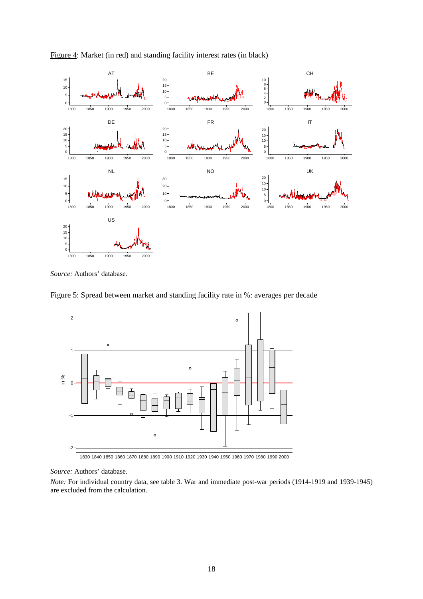

Figure 4: Market (in red) and standing facility interest rates (in black)

*Source:* Authors' database.





1830 1840 1850 1860 1870 1880 1890 1900 1910 1920 1930 1940 1950 1960 1970 1980 1990 2000

#### *Source:* Authors' database.

*Note:* For individual country data, see table 3. War and immediate post-war periods (1914-1919 and 1939-1945) are excluded from the calculation.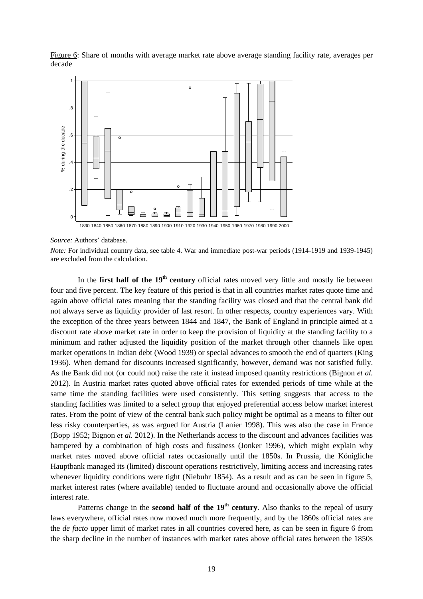

Figure 6: Share of months with average market rate above average standing facility rate, averages per decade

*Source:* Authors' database.

*Note:* For individual country data, see table 4. War and immediate post-war periods (1914-1919 and 1939-1945) are excluded from the calculation.

In the **first half of the 19<sup>th</sup> century** official rates moved very little and mostly lie between four and five percent. The key feature of this period is that in all countries market rates quote time and again above official rates meaning that the standing facility was closed and that the central bank did not always serve as liquidity provider of last resort. In other respects, country experiences vary. With the exception of the three years between 1844 and 1847, the Bank of England in principle aimed at a discount rate above market rate in order to keep the provision of liquidity at the standing facility to a minimum and rather adjusted the liquidity position of the market through other channels like open market operations in Indian debt (Wood 1939) or special advances to smooth the end of quarters (King 1936). When demand for discounts increased significantly, however, demand was not satisfied fully. As the Bank did not (or could not) raise the rate it instead imposed quantity restrictions (Bignon *et al.* 2012). In Austria market rates quoted above official rates for extended periods of time while at the same time the standing facilities were used consistently. This setting suggests that access to the standing facilities was limited to a select group that enjoyed preferential access below market interest rates. From the point of view of the central bank such policy might be optimal as a means to filter out less risky counterparties, as was argued for Austria (Lanier 1998). This was also the case in France (Bopp 1952; Bignon *et al.* 2012). In the Netherlands access to the discount and advances facilities was hampered by a combination of high costs and fussiness (Jonker 1996), which might explain why market rates moved above official rates occasionally until the 1850s. In Prussia, the Königliche Hauptbank managed its (limited) discount operations restrictively, limiting access and increasing rates whenever liquidity conditions were tight (Niebuhr 1854). As a result and as can be seen in figure 5, market interest rates (where available) tended to fluctuate around and occasionally above the official interest rate.

Patterns change in the **second half of the 19<sup>th</sup> century**. Also thanks to the repeal of usury laws everywhere, official rates now moved much more frequently, and by the 1860s official rates are the *de facto* upper limit of market rates in all countries covered here, as can be seen in figure 6 from the sharp decline in the number of instances with market rates above official rates between the 1850s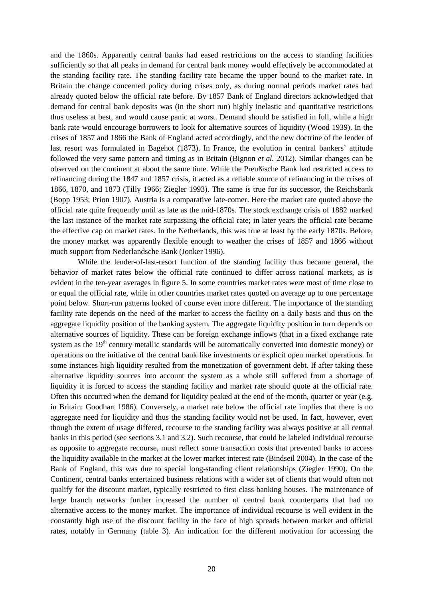and the 1860s. Apparently central banks had eased restrictions on the access to standing facilities sufficiently so that all peaks in demand for central bank money would effectively be accommodated at the standing facility rate. The standing facility rate became the upper bound to the market rate. In Britain the change concerned policy during crises only, as during normal periods market rates had already quoted below the official rate before. By 1857 Bank of England directors acknowledged that demand for central bank deposits was (in the short run) highly inelastic and quantitative restrictions thus useless at best, and would cause panic at worst. Demand should be satisfied in full, while a high bank rate would encourage borrowers to look for alternative sources of liquidity (Wood 1939). In the crises of 1857 and 1866 the Bank of England acted accordingly, and the new doctrine of the lender of last resort was formulated in Bagehot (1873). In France, the evolution in central bankers' attitude followed the very same pattern and timing as in Britain (Bignon *et al.* 2012). Similar changes can be observed on the continent at about the same time. While the Preußische Bank had restricted access to refinancing during the 1847 and 1857 crisis, it acted as a reliable source of refinancing in the crises of 1866, 1870, and 1873 (Tilly 1966; Ziegler 1993). The same is true for its successor, the Reichsbank (Bopp 1953; Prion 1907). Austria is a comparative late-comer. Here the market rate quoted above the official rate quite frequently until as late as the mid-1870s. The stock exchange crisis of 1882 marked the last instance of the market rate surpassing the official rate; in later years the official rate became the effective cap on market rates. In the Netherlands, this was true at least by the early 1870s. Before, the money market was apparently flexible enough to weather the crises of 1857 and 1866 without much support from Nederlandsche Bank (Jonker 1996).

While the lender-of-last-resort function of the standing facility thus became general, the behavior of market rates below the official rate continued to differ across national markets, as is evident in the ten-year averages in figure 5. In some countries market rates were most of time close to or equal the official rate, while in other countries market rates quoted on average up to one percentage point below. Short-run patterns looked of course even more different. The importance of the standing facility rate depends on the need of the market to access the facility on a daily basis and thus on the aggregate liquidity position of the banking system. The aggregate liquidity position in turn depends on alternative sources of liquidity. These can be foreign exchange inflows (that in a fixed exchange rate system as the  $19<sup>th</sup>$  century metallic standards will be automatically converted into domestic money) or operations on the initiative of the central bank like investments or explicit open market operations. In some instances high liquidity resulted from the monetization of government debt. If after taking these alternative liquidity sources into account the system as a whole still suffered from a shortage of liquidity it is forced to access the standing facility and market rate should quote at the official rate. Often this occurred when the demand for liquidity peaked at the end of the month, quarter or year (e.g. in Britain: Goodhart 1986). Conversely, a market rate below the official rate implies that there is no aggregate need for liquidity and thus the standing facility would not be used. In fact, however, even though the extent of usage differed, recourse to the standing facility was always positive at all central banks in this period (see sections 3.1 and 3.2). Such recourse, that could be labeled individual recourse as opposite to aggregate recourse, must reflect some transaction costs that prevented banks to access the liquidity available in the market at the lower market interest rate (Bindseil 2004). In the case of the Bank of England, this was due to special long-standing client relationships (Ziegler 1990). On the Continent, central banks entertained business relations with a wider set of clients that would often not qualify for the discount market, typically restricted to first class banking houses. The maintenance of large branch networks further increased the number of central bank counterparts that had no alternative access to the money market. The importance of individual recourse is well evident in the constantly high use of the discount facility in the face of high spreads between market and official rates, notably in Germany (table 3). An indication for the different motivation for accessing the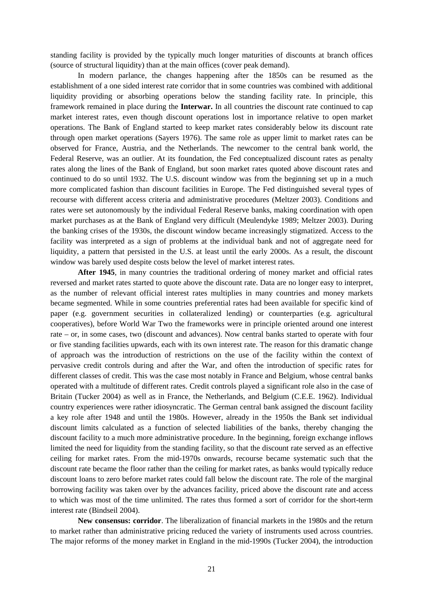standing facility is provided by the typically much longer maturities of discounts at branch offices (source of structural liquidity) than at the main offices (cover peak demand).

In modern parlance, the changes happening after the 1850s can be resumed as the establishment of a one sided interest rate corridor that in some countries was combined with additional liquidity providing or absorbing operations below the standing facility rate. In principle, this framework remained in place during the **Interwar.** In all countries the discount rate continued to cap market interest rates, even though discount operations lost in importance relative to open market operations. The Bank of England started to keep market rates considerably below its discount rate through open market operations (Sayers 1976). The same role as upper limit to market rates can be observed for France, Austria, and the Netherlands. The newcomer to the central bank world, the Federal Reserve, was an outlier. At its foundation, the Fed conceptualized discount rates as penalty rates along the lines of the Bank of England, but soon market rates quoted above discount rates and continued to do so until 1932. The U.S. discount window was from the beginning set up in a much more complicated fashion than discount facilities in Europe. The Fed distinguished several types of recourse with different access criteria and administrative procedures (Meltzer 2003). Conditions and rates were set autonomously by the individual Federal Reserve banks, making coordination with open market purchases as at the Bank of England very difficult (Meulendyke 1989; Meltzer 2003). During the banking crises of the 1930s, the discount window became increasingly stigmatized. Access to the facility was interpreted as a sign of problems at the individual bank and not of aggregate need for liquidity, a pattern that persisted in the U.S. at least until the early 2000s. As a result, the discount window was barely used despite costs below the level of market interest rates.

**After 1945**, in many countries the traditional ordering of money market and official rates reversed and market rates started to quote above the discount rate. Data are no longer easy to interpret, as the number of relevant official interest rates multiplies in many countries and money markets became segmented. While in some countries preferential rates had been available for specific kind of paper (e.g. government securities in collateralized lending) or counterparties (e.g. agricultural cooperatives), before World War Two the frameworks were in principle oriented around one interest rate – or, in some cases, two (discount and advances). Now central banks started to operate with four or five standing facilities upwards, each with its own interest rate. The reason for this dramatic change of approach was the introduction of restrictions on the use of the facility within the context of pervasive credit controls during and after the War, and often the introduction of specific rates for different classes of credit. This was the case most notably in France and Belgium, whose central banks operated with a multitude of different rates. Credit controls played a significant role also in the case of Britain (Tucker 2004) as well as in France, the Netherlands, and Belgium (C.E.E. 1962). Individual country experiences were rather idiosyncratic. The German central bank assigned the discount facility a key role after 1948 and until the 1980s. However, already in the 1950s the Bank set individual discount limits calculated as a function of selected liabilities of the banks, thereby changing the discount facility to a much more administrative procedure. In the beginning, foreign exchange inflows limited the need for liquidity from the standing facility, so that the discount rate served as an effective ceiling for market rates. From the mid-1970s onwards, recourse became systematic such that the discount rate became the floor rather than the ceiling for market rates, as banks would typically reduce discount loans to zero before market rates could fall below the discount rate. The role of the marginal borrowing facility was taken over by the advances facility, priced above the discount rate and access to which was most of the time unlimited. The rates thus formed a sort of corridor for the short-term interest rate (Bindseil 2004).

**New consensus: corridor**. The liberalization of financial markets in the 1980s and the return to market rather than administrative pricing reduced the variety of instruments used across countries. The major reforms of the money market in England in the mid-1990s (Tucker 2004), the introduction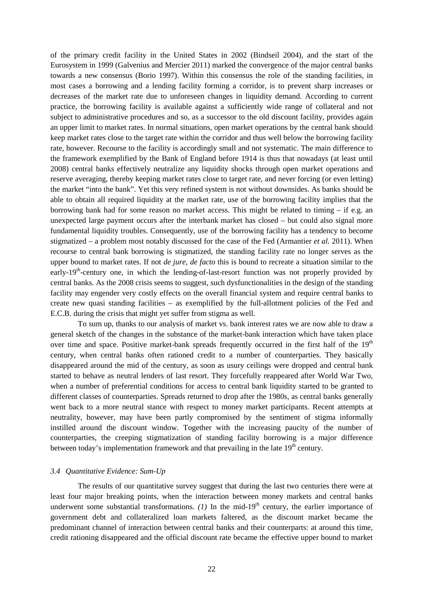of the primary credit facility in the United States in 2002 (Bindseil 2004), and the start of the Eurosystem in 1999 (Galvenius and Mercier 2011) marked the convergence of the major central banks towards a new consensus (Borio 1997). Within this consensus the role of the standing facilities, in most cases a borrowing and a lending facility forming a corridor, is to prevent sharp increases or decreases of the market rate due to unforeseen changes in liquidity demand. According to current practice, the borrowing facility is available against a sufficiently wide range of collateral and not subject to administrative procedures and so, as a successor to the old discount facility, provides again an upper limit to market rates. In normal situations, open market operations by the central bank should keep market rates close to the target rate within the corridor and thus well below the borrowing facility rate, however. Recourse to the facility is accordingly small and not systematic. The main difference to the framework exemplified by the Bank of England before 1914 is thus that nowadays (at least until 2008) central banks effectively neutralize any liquidity shocks through open market operations and reserve averaging, thereby keeping market rates close to target rate, and never forcing (or even letting) the market "into the bank". Yet this very refined system is not without downsides. As banks should be able to obtain all required liquidity at the market rate, use of the borrowing facility implies that the borrowing bank had for some reason no market access. This might be related to timing – if e.g. an unexpected large payment occurs after the interbank market has closed – but could also signal more fundamental liquidity troubles. Consequently, use of the borrowing facility has a tendency to become stigmatized – a problem most notably discussed for the case of the Fed (Armantier *et al.* 2011). When recourse to central bank borrowing is stigmatized, the standing facility rate no longer serves as the upper bound to market rates. If not *de jure*, *de facto* this is bound to recreate a situation similar to the early-19<sup>th</sup>-century one, in which the lending-of-last-resort function was not properly provided by central banks. As the 2008 crisis seems to suggest, such dysfunctionalities in the design of the standing facility may engender very costly effects on the overall financial system and require central banks to create new quasi standing facilities – as exemplified by the full-allotment policies of the Fed and E.C.B. during the crisis that might yet suffer from stigma as well.

To sum up, thanks to our analysis of market vs. bank interest rates we are now able to draw a general sketch of the changes in the substance of the market-bank interaction which have taken place over time and space. Positive market-bank spreads frequently occurred in the first half of the  $19<sup>th</sup>$ century, when central banks often rationed credit to a number of counterparties. They basically disappeared around the mid of the century, as soon as usury ceilings were dropped and central bank started to behave as neutral lenders of last resort. They forcefully reappeared after World War Two, when a number of preferential conditions for access to central bank liquidity started to be granted to different classes of counterparties. Spreads returned to drop after the 1980s, as central banks generally went back to a more neutral stance with respect to money market participants. Recent attempts at neutrality, however, may have been partly compromised by the sentiment of stigma informally instilled around the discount window. Together with the increasing paucity of the number of counterparties, the creeping stigmatization of standing facility borrowing is a major difference between today's implementation framework and that prevailing in the late  $19<sup>th</sup>$  century.

#### *3.4 Quantitative Evidence: Sum-Up*

The results of our quantitative survey suggest that during the last two centuries there were at least four major breaking points, when the interaction between money markets and central banks underwent some substantial transformations.  $(1)$  In the mid-19<sup>th</sup> century, the earlier importance of government debt and collateralized loan markets faltered, as the discount market became the predominant channel of interaction between central banks and their counterparts: at around this time, credit rationing disappeared and the official discount rate became the effective upper bound to market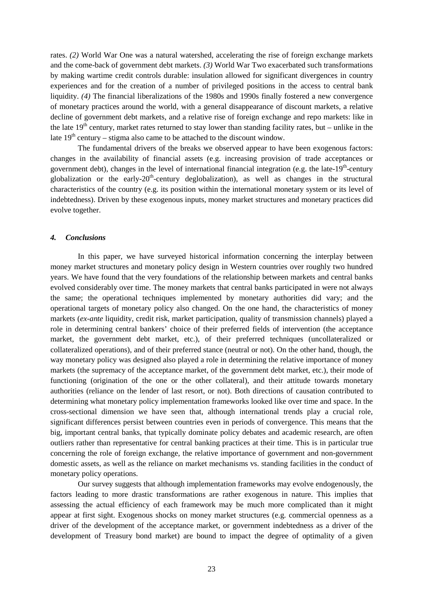rates. *(2)* World War One was a natural watershed, accelerating the rise of foreign exchange markets and the come-back of government debt markets. *(3)* World War Two exacerbated such transformations by making wartime credit controls durable: insulation allowed for significant divergences in country experiences and for the creation of a number of privileged positions in the access to central bank liquidity. *(4)* The financial liberalizations of the 1980s and 1990s finally fostered a new convergence of monetary practices around the world, with a general disappearance of discount markets, a relative decline of government debt markets, and a relative rise of foreign exchange and repo markets: like in the late  $19<sup>th</sup>$  century, market rates returned to stay lower than standing facility rates, but – unlike in the late  $19<sup>th</sup>$  century – stigma also came to be attached to the discount window.

The fundamental drivers of the breaks we observed appear to have been exogenous factors: changes in the availability of financial assets (e.g. increasing provision of trade acceptances or government debt), changes in the level of international financial integration (e.g. the late-19<sup>th</sup>-century globalization or the early- $20<sup>th</sup>$ -century deglobalization), as well as changes in the structural characteristics of the country (e.g. its position within the international monetary system or its level of indebtedness). Driven by these exogenous inputs, money market structures and monetary practices did evolve together.

#### *4. Conclusions*

In this paper, we have surveyed historical information concerning the interplay between money market structures and monetary policy design in Western countries over roughly two hundred years. We have found that the very foundations of the relationship between markets and central banks evolved considerably over time. The money markets that central banks participated in were not always the same; the operational techniques implemented by monetary authorities did vary; and the operational targets of monetary policy also changed. On the one hand, the characteristics of money markets (*ex-ante* liquidity, credit risk, market participation, quality of transmission channels) played a role in determining central bankers' choice of their preferred fields of intervention (the acceptance market, the government debt market, etc.), of their preferred techniques (uncollateralized or collateralized operations), and of their preferred stance (neutral or not). On the other hand, though, the way monetary policy was designed also played a role in determining the relative importance of money markets (the supremacy of the acceptance market, of the government debt market, etc.), their mode of functioning (origination of the one or the other collateral), and their attitude towards monetary authorities (reliance on the lender of last resort, or not). Both directions of causation contributed to determining what monetary policy implementation frameworks looked like over time and space. In the cross-sectional dimension we have seen that, although international trends play a crucial role, significant differences persist between countries even in periods of convergence. This means that the big, important central banks, that typically dominate policy debates and academic research, are often outliers rather than representative for central banking practices at their time. This is in particular true concerning the role of foreign exchange, the relative importance of government and non-government domestic assets, as well as the reliance on market mechanisms vs. standing facilities in the conduct of monetary policy operations.

Our survey suggests that although implementation frameworks may evolve endogenously, the factors leading to more drastic transformations are rather exogenous in nature. This implies that assessing the actual efficiency of each framework may be much more complicated than it might appear at first sight. Exogenous shocks on money market structures (e.g. commercial openness as a driver of the development of the acceptance market, or government indebtedness as a driver of the development of Treasury bond market) are bound to impact the degree of optimality of a given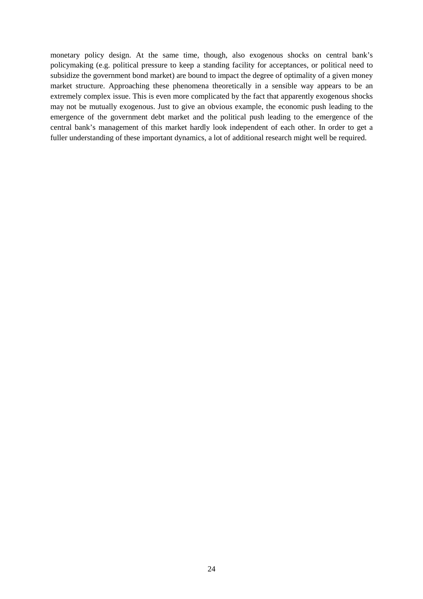monetary policy design. At the same time, though, also exogenous shocks on central bank's policymaking (e.g. political pressure to keep a standing facility for acceptances, or political need to subsidize the government bond market) are bound to impact the degree of optimality of a given money market structure. Approaching these phenomena theoretically in a sensible way appears to be an extremely complex issue. This is even more complicated by the fact that apparently exogenous shocks may not be mutually exogenous. Just to give an obvious example, the economic push leading to the emergence of the government debt market and the political push leading to the emergence of the central bank's management of this market hardly look independent of each other. In order to get a fuller understanding of these important dynamics, a lot of additional research might well be required.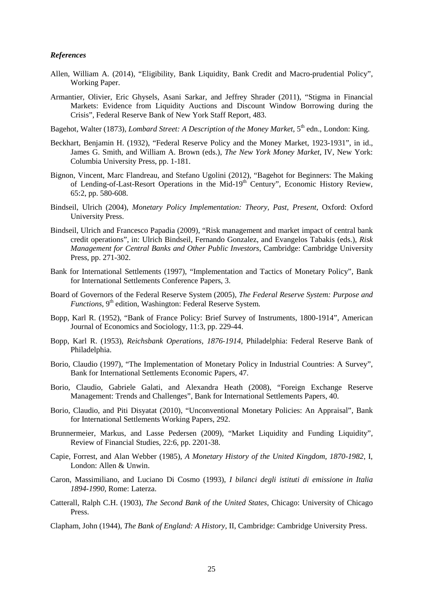#### *References*

- Allen, William A. (2014), "Eligibility, Bank Liquidity, Bank Credit and Macro-prudential Policy", Working Paper.
- Armantier, Olivier, Eric Ghysels, Asani Sarkar, and Jeffrey Shrader (2011), "Stigma in Financial Markets: Evidence from Liquidity Auctions and Discount Window Borrowing during the Crisis", Federal Reserve Bank of New York Staff Report, 483.

Bagehot, Walter (1873), *Lombard Street: A Description of the Money Market*, 5<sup>th</sup> edn., London: King.

- Beckhart, Benjamin H. (1932), "Federal Reserve Policy and the Money Market, 1923-1931", in id., James G. Smith, and William A. Brown (eds.), *The New York Money Market*, IV, New York: Columbia University Press, pp. 1-181.
- Bignon, Vincent, Marc Flandreau, and Stefano Ugolini (2012), "Bagehot for Beginners: The Making of Lending-of-Last-Resort Operations in the Mid-19<sup>th</sup> Century", Economic History Review, 65:2, pp. 580-608.
- Bindseil, Ulrich (2004), *Monetary Policy Implementation: Theory, Past, Present*, Oxford: Oxford University Press.
- Bindseil, Ulrich and Francesco Papadia (2009), "Risk management and market impact of central bank credit operations", in: Ulrich Bindseil, Fernando Gonzalez, and Evangelos Tabakis (eds.), *Risk Management for Central Banks and Other Public Investors*, Cambridge: Cambridge University Press, pp. 271-302.
- Bank for International Settlements (1997), "Implementation and Tactics of Monetary Policy", Bank for International Settlements Conference Papers, 3.
- Board of Governors of the Federal Reserve System (2005), *The Federal Reserve System: Purpose and Functions*, 9<sup>th</sup> edition, Washington: Federal Reserve System.
- Bopp, Karl R. (1952), "Bank of France Policy: Brief Survey of Instruments, 1800-1914", American Journal of Economics and Sociology, 11:3, pp. 229-44.
- Bopp, Karl R. (1953), *Reichsbank Operations, 1876-1914*, Philadelphia: Federal Reserve Bank of Philadelphia.
- Borio, Claudio (1997), "The Implementation of Monetary Policy in Industrial Countries: A Survey", Bank for International Settlements Economic Papers, 47.
- Borio, Claudio, Gabriele Galati, and Alexandra Heath (2008), "Foreign Exchange Reserve Management: Trends and Challenges", Bank for International Settlements Papers, 40.
- Borio, Claudio, and Piti Disyatat (2010), "Unconventional Monetary Policies: An Appraisal", Bank for International Settlements Working Papers, 292.
- Brunnermeier, Markus, and Lasse Pedersen (2009), "Market Liquidity and Funding Liquidity", Review of Financial Studies, 22:6, pp. 2201-38.
- Capie, Forrest, and Alan Webber (1985), *A Monetary History of the United Kingdom, 1870-1982*, I, London: Allen & Unwin.
- Caron, Massimiliano, and Luciano Di Cosmo (1993), *I bilanci degli istituti di emissione in Italia 1894-1990*, Rome: Laterza.
- Catterall, Ralph C.H. (1903), *The Second Bank of the United States*, Chicago: University of Chicago Press.
- Clapham, John (1944), *The Bank of England: A History*, II, Cambridge: Cambridge University Press.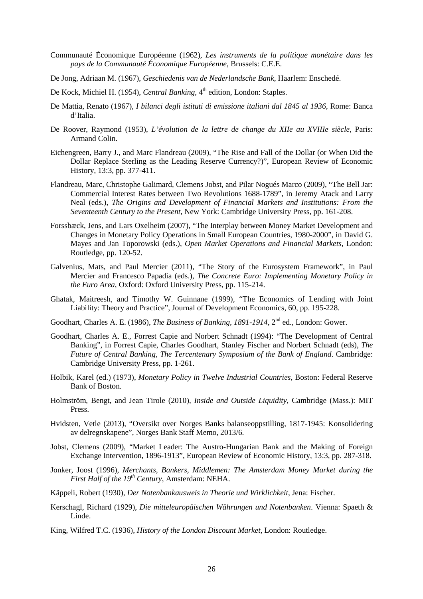- Communauté Économique Européenne (1962), *Les instruments de la politique monétaire dans les pays de la Communauté Économique Européenne*, Brussels: C.E.E.
- De Jong, Adriaan M. (1967), *Geschiedenis van de Nederlandsche Bank*, Haarlem: Enschedé.
- De Kock, Michiel H. (1954), *Central Banking*, 4<sup>th</sup> edition, London: Staples.
- De Mattia, Renato (1967), *I bilanci degli istituti di emissione italiani dal 1845 al 1936*, Rome: Banca d'Italia.
- De Roover, Raymond (1953), *L'évolution de la lettre de change du XIIe au XVIIIe siècle*, Paris: Armand Colin.
- Eichengreen, Barry J., and Marc Flandreau (2009), "The Rise and Fall of the Dollar (or When Did the Dollar Replace Sterling as the Leading Reserve Currency?)", European Review of Economic History, 13:3, pp. 377-411.
- Flandreau, Marc, Christophe Galimard, Clemens Jobst, and Pilar Nogués Marco (2009), "The Bell Jar: Commercial Interest Rates between Two Revolutions 1688-1789", in Jeremy Atack and Larry Neal (eds.), *The Origins and Development of Financial Markets and Institutions: From the Seventeenth Century to the Present*, New York: Cambridge University Press, pp. 161-208.
- Forssbæck, Jens, and Lars Oxelheim (2007), "The Interplay between Money Market Development and Changes in Monetary Policy Operations in Small European Countries, 1980-2000", in David G. Mayes and Jan Toporowski (eds.), *Open Market Operations and Financial Markets*, London: Routledge, pp. 120-52.
- Galvenius, Mats, and Paul Mercier (2011), "The Story of the Eurosystem Framework", in Paul Mercier and Francesco Papadia (eds.), *The Concrete Euro: Implementing Monetary Policy in the Euro Area*, Oxford: Oxford University Press, pp. 115-214.
- Ghatak, Maitreesh, and Timothy W. Guinnane (1999), "The Economics of Lending with Joint Liability: Theory and Practice", Journal of Development Economics, 60, pp. 195-228.
- Goodhart, Charles A. E. (1986), *The Business of Banking, 1891-1914*, 2<sup>nd</sup> ed., London: Gower.
- Goodhart, Charles A. E., Forrest Capie and Norbert Schnadt (1994): "The Development of Central Banking", in Forrest Capie, Charles Goodhart, Stanley Fischer and Norbert Schnadt (eds), *The Future of Central Banking, The Tercentenary Symposium of the Bank of England*. Cambridge: Cambridge University Press, pp. 1-261.
- Holbik, Karel (ed.) (1973), *Monetary Policy in Twelve Industrial Countries*, Boston: Federal Reserve Bank of Boston.
- Holmström, Bengt, and Jean Tirole (2010), *Inside and Outside Liquidity*, Cambridge (Mass.): MIT Press.
- Hvidsten, Vetle (2013), "Oversikt over Norges Banks balanseoppstilling, 1817-1945: Konsolidering av delregnskapene", Norges Bank Staff Memo, 2013/6.
- Jobst, Clemens (2009), "Market Leader: The Austro-Hungarian Bank and the Making of Foreign Exchange Intervention, 1896-1913", European Review of Economic History, 13:3, pp. 287-318.
- Jonker, Joost (1996), *Merchants, Bankers, Middlemen: The Amsterdam Money Market during the First Half of the 19th Century*, Amsterdam: NEHA.
- Käppeli, Robert (1930), *Der Notenbankausweis in Theorie und Wirklichkeit*, Jena: Fischer.
- Kerschagl, Richard (1929), *Die mitteleuropäischen Währungen und Notenbanken*. Vienna: Spaeth & Linde.
- King, Wilfred T.C. (1936), *History of the London Discount Market*, London: Routledge.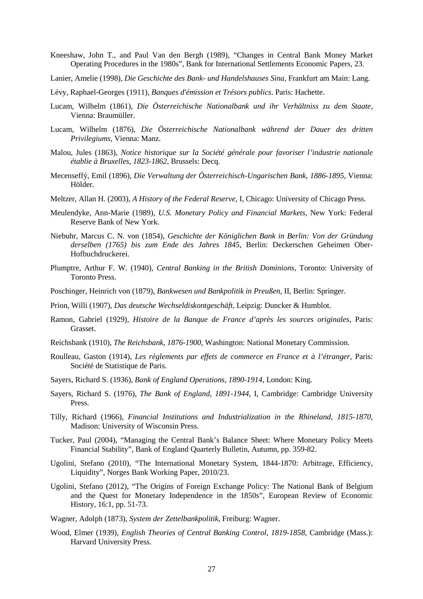- Kneeshaw, John T., and Paul Van den Bergh (1989), "Changes in Central Bank Money Market Operating Procedures in the 1980s", Bank for International Settlements Economic Papers, 23.
- Lanier, Amelie (1998), *Die Geschichte des Bank- und Handelshauses Sina*, Frankfurt am Main: Lang.
- Lévy, Raphael-Georges (1911), *Banques d'émission et Trésors publics*. Paris: Hachette.
- Lucam, Wilhelm (1861), *Die Österreichische Nationalbank und ihr Verhältniss zu dem Staate*, Vienna: Braumüller.
- Lucam, Wilhelm (1876), *Die Österreichische Nationalbank während der Dauer des dritten Privilegiums*, Vienna: Manz.
- Malou, Jules (1863), *Notice historique sur la Société générale pour favoriser l'industrie nationale établie à Bruxelles, 1823-1862*, Brussels: Decq.
- Mecenseffý, Emil (1896), *Die Verwaltung der Österreichisch-Ungarischen Bank, 1886-1895,* Vienna: Hölder.
- Meltzer, Allan H. (2003), *A History of the Federal Reserve*, I, Chicago: University of Chicago Press.
- Meulendyke, Ann-Marie (1989), *U.S. Monetary Policy and Financial Markets*, New York: Federal Reserve Bank of New York.
- Niebuhr, Marcus C. N. von (1854), *Geschichte der Königlichen Bank in Berlin: Von der Gründung derselben (1765) bis zum Ende des Jahres 1845*, Berlin: Deckerschen Geheimen Ober-Hofbuchdruckerei.
- Plumptre, Arthur F. W. (1940), *Central Banking in the British Dominions*, Toronto: University of Toronto Press.
- Poschinger, Heinrich von (1879), *Bankwesen und Bankpolitik in Preußen*, II, Berlin: Springer.
- Prion, Willi (1907), *Das deutsche Wechseldiskontgeschäft*, Leipzig: Duncker & Humblot.
- Ramon, Gabriel (1929), *Histoire de la Banque de France d'après les sources originales*, Paris: Grasset.
- Reichsbank (1910), *The Reichsbank, 1876-1900*, Washington: National Monetary Commission.
- Roulleau, Gaston (1914), *Les règlements par effets de commerce en France et à l'étranger*, Paris: Société de Statistique de Paris.
- Sayers, Richard S. (1936), *Bank of England Operations, 1890-1914*, London: King.
- Sayers, Richard S. (1976), *The Bank of England, 1891-1944*, I, Cambridge: Cambridge University Press.
- Tilly, Richard (1966), *Financial Institutions and Industrialization in the Rhineland, 1815-1870*, Madison: University of Wisconsin Press.
- Tucker, Paul (2004), "Managing the Central Bank's Balance Sheet: Where Monetary Policy Meets Financial Stability", Bank of England Quarterly Bulletin, Autumn, pp. 359-82.
- Ugolini, Stefano (2010), "The International Monetary System, 1844-1870: Arbitrage, Efficiency, Liquidity", Norges Bank Working Paper, 2010/23.
- Ugolini, Stefano (2012), "The Origins of Foreign Exchange Policy: The National Bank of Belgium and the Quest for Monetary Independence in the 1850s", European Review of Economic History, 16:1, pp. 51-73.
- Wagner, Adolph (1873), *System der Zettelbankpolitik*, Freiburg: Wagner.
- Wood, Elmer (1939), *English Theories of Central Banking Control, 1819-1858*, Cambridge (Mass.): Harvard University Press.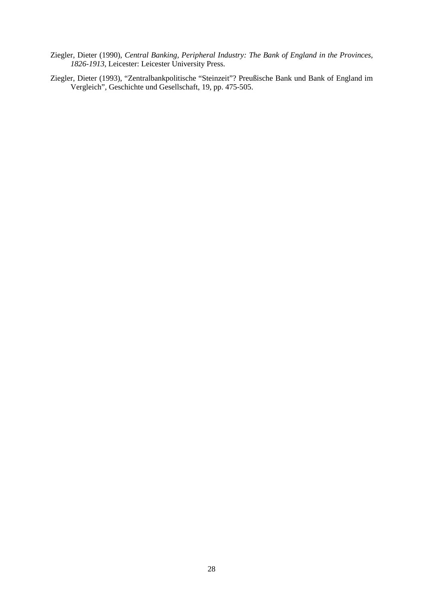- Ziegler, Dieter (1990), *Central Banking, Peripheral Industry: The Bank of England in the Provinces, 1826-1913*, Leicester: Leicester University Press.
- Ziegler, Dieter (1993), "Zentralbankpolitische "Steinzeit"? Preußische Bank und Bank of England im Vergleich", Geschichte und Gesellschaft, 19, pp. 475-505.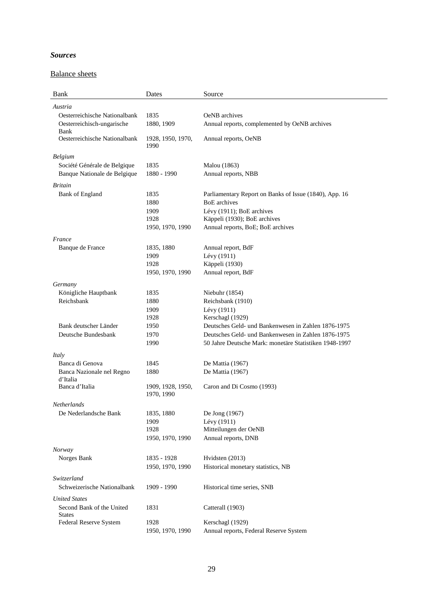## *Sources*

## Balance sheets

| Bank                                       | Dates                           | Source                                                                                                        |
|--------------------------------------------|---------------------------------|---------------------------------------------------------------------------------------------------------------|
| Austria                                    |                                 |                                                                                                               |
| Oesterreichische Nationalbank              | 1835                            | OeNB archives                                                                                                 |
| Oesterreichisch-ungarische<br>Bank         | 1880, 1909                      | Annual reports, complemented by OeNB archives                                                                 |
| Oesterreichische Nationalbank              | 1928, 1950, 1970,<br>1990       | Annual reports, OeNB                                                                                          |
| Belgium                                    |                                 |                                                                                                               |
| Société Générale de Belgique               | 1835                            | Malou (1863)                                                                                                  |
| Banque Nationale de Belgique               | 1880 - 1990                     | Annual reports, NBB                                                                                           |
| <b>Britain</b>                             |                                 |                                                                                                               |
| <b>Bank of England</b>                     | 1835                            | Parliamentary Report on Banks of Issue (1840), App. 16                                                        |
|                                            | 1880                            | <b>BoE</b> archives                                                                                           |
|                                            | 1909                            | Lévy (1911); BoE archives                                                                                     |
|                                            | 1928                            | Käppeli (1930); BoE archives                                                                                  |
|                                            | 1950, 1970, 1990                | Annual reports, BoE; BoE archives                                                                             |
| France                                     |                                 |                                                                                                               |
| Banque de France                           | 1835, 1880                      | Annual report, BdF                                                                                            |
|                                            | 1909                            | Lévy (1911)                                                                                                   |
|                                            | 1928                            | Käppeli (1930)                                                                                                |
|                                            | 1950, 1970, 1990                | Annual report, BdF                                                                                            |
| Germany                                    |                                 |                                                                                                               |
| Königliche Hauptbank                       | 1835                            | Niebuhr (1854)                                                                                                |
| Reichsbank                                 | 1880                            | Reichsbank (1910)                                                                                             |
|                                            | 1909                            | Lévy (1911)                                                                                                   |
|                                            | 1928                            | Kerschagl (1929)                                                                                              |
| Bank deutscher Länder                      | 1950                            | Deutsches Geld- und Bankenwesen in Zahlen 1876-1975                                                           |
| Deutsche Bundesbank                        | 1970                            | Deutsches Geld- und Bankenwesen in Zahlen 1876-1975<br>50 Jahre Deutsche Mark: monetäre Statistiken 1948-1997 |
|                                            | 1990                            |                                                                                                               |
| Italy                                      |                                 |                                                                                                               |
| Banca di Genova                            | 1845                            | De Mattia (1967)                                                                                              |
| Banca Nazionale nel Regno<br>d'Italia      | 1880                            | De Mattia (1967)                                                                                              |
| Banca d'Italia                             | 1909, 1928, 1950,<br>1970, 1990 | Caron and Di Cosmo (1993)                                                                                     |
| Netherlands                                |                                 |                                                                                                               |
| De Nederlandsche Bank                      | 1835, 1880                      | De Jong (1967)                                                                                                |
|                                            | 1909                            | Lévy (1911)                                                                                                   |
|                                            | 1928                            | Mitteilungen der OeNB                                                                                         |
|                                            | 1950, 1970, 1990                | Annual reports, DNB                                                                                           |
| Norway                                     |                                 |                                                                                                               |
| Norges Bank                                | 1835 - 1928                     | Hvidsten (2013)                                                                                               |
|                                            | 1950, 1970, 1990                | Historical monetary statistics, NB                                                                            |
| Switzerland                                |                                 |                                                                                                               |
| Schweizerische Nationalbank                | 1909 - 1990                     | Historical time series, SNB                                                                                   |
| <b>United States</b>                       |                                 |                                                                                                               |
| Second Bank of the United<br><b>States</b> | 1831                            | Catterall (1903)                                                                                              |
| Federal Reserve System                     | 1928                            | Kerschagl (1929)                                                                                              |
|                                            | 1950, 1970, 1990                | Annual reports, Federal Reserve System                                                                        |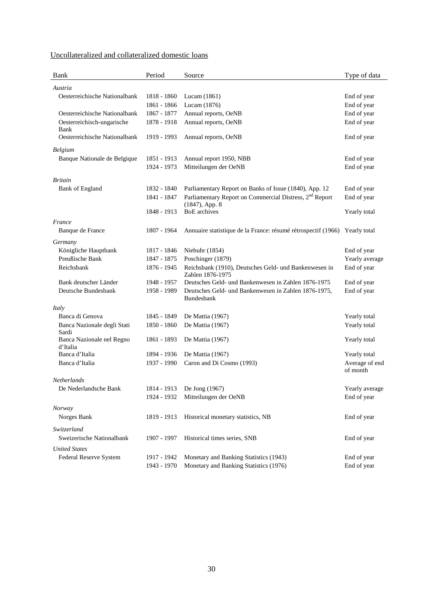|--|

| <b>Bank</b>                   | Period      | Source                                                                    | Type of data               |
|-------------------------------|-------------|---------------------------------------------------------------------------|----------------------------|
| Austria                       |             |                                                                           |                            |
| Oesterreichische Nationalbank | 1818 - 1860 | Lucam (1861)                                                              | End of year                |
|                               | 1861 - 1866 | Lucam (1876)                                                              | End of year                |
| Oesterreichische Nationalbank | 1867 - 1877 | Annual reports, OeNB                                                      | End of year                |
| Oesterreichisch-ungarische    | 1878 - 1918 | Annual reports, OeNB                                                      | End of year                |
| Bank                          |             |                                                                           |                            |
| Oesterreichische Nationalbank | 1919 - 1993 | Annual reports, OeNB                                                      | End of year                |
| Belgium                       |             |                                                                           |                            |
| Banque Nationale de Belgique  | 1851 - 1913 | Annual report 1950, NBB                                                   | End of year                |
|                               | 1924 - 1973 | Mitteilungen der OeNB                                                     | End of year                |
| <i><b>Britain</b></i>         |             |                                                                           |                            |
| <b>Bank of England</b>        | 1832 - 1840 | Parliamentary Report on Banks of Issue (1840), App. 12                    | End of year                |
|                               | 1841 - 1847 | Parliamentary Report on Commercial Distress, 2 <sup>nd</sup> Report       | End of year                |
|                               |             | $(1847)$ , App. 8                                                         |                            |
|                               | 1848 - 1913 | <b>BoE</b> archives                                                       | Yearly total               |
| France                        |             |                                                                           |                            |
| Banque de France              | 1807 - 1964 | Annuaire statistique de la France: résumé rétrospectif (1966)             | Yearly total               |
| Germany                       |             |                                                                           |                            |
| Königliche Hauptbank          | 1817 - 1846 | Niebuhr (1854)                                                            | End of year                |
| Preußische Bank               | 1847 - 1875 | Poschinger (1879)                                                         | Yearly average             |
| Reichsbank                    | 1876 - 1945 | Reichsbank (1910), Deutsches Geld- und Bankenwesen in                     | End of year                |
|                               |             | Zahlen 1876-1975                                                          |                            |
| Bank deutscher Länder         | 1948 - 1957 | Deutsches Geld- und Bankenwesen in Zahlen 1876-1975                       | End of year                |
| Deutsche Bundesbank           | 1958 - 1989 | Deutsches Geld- und Bankenwesen in Zahlen 1876-1975,<br><b>Bundesbank</b> | End of year                |
|                               |             |                                                                           |                            |
| Italy<br>Banca di Genova      | 1845 - 1849 | De Mattia (1967)                                                          | Yearly total               |
| Banca Nazionale degli Stati   | 1850 - 1860 | De Mattia (1967)                                                          | Yearly total               |
| Sardi                         |             |                                                                           |                            |
| Banca Nazionale nel Regno     | 1861 - 1893 | De Mattia (1967)                                                          | Yearly total               |
| d'Italia                      |             |                                                                           |                            |
| Banca d'Italia                | 1894 - 1936 | De Mattia (1967)                                                          | Yearly total               |
| Banca d'Italia                | 1937 - 1990 | Caron and Di Cosmo (1993)                                                 | Average of end<br>of month |
| <i>Netherlands</i>            |             |                                                                           |                            |
| De Nederlandsche Bank         | 1814 - 1913 | De Jong (1967)                                                            | Yearly average             |
|                               | 1924 - 1932 | Mitteilungen der OeNB                                                     | End of year                |
|                               |             |                                                                           |                            |
| Norway<br>Norges Bank         | 1819 - 1913 | Historical monetary statistics, NB                                        | End of year                |
|                               |             |                                                                           |                            |
| Switzerland                   |             |                                                                           |                            |
| Sweizerische Nationalbank     | 1907 - 1997 | Historical times series, SNB                                              | End of year                |
| <b>United States</b>          |             |                                                                           |                            |
| Federal Reserve System        | 1917 - 1942 | Monetary and Banking Statistics (1943)                                    | End of year                |
|                               | 1943 - 1970 | Monetary and Banking Statistics (1976)                                    | End of year                |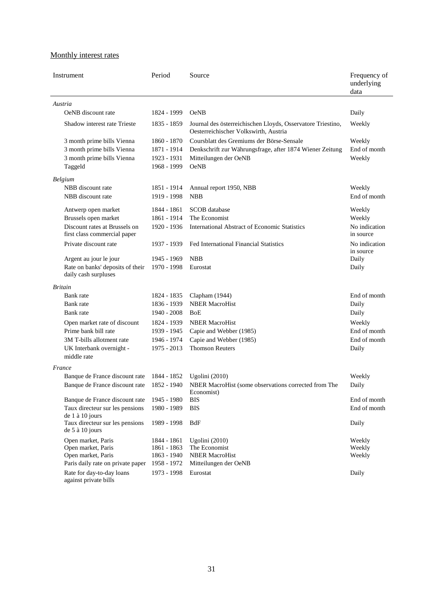## Monthly interest rates

| Instrument                                                                | Period      | Source                                                                                               | Frequency of<br>underlying<br>data |
|---------------------------------------------------------------------------|-------------|------------------------------------------------------------------------------------------------------|------------------------------------|
| Austria                                                                   |             |                                                                                                      |                                    |
| OeNB discount rate                                                        | 1824 - 1999 | <b>OeNB</b>                                                                                          | Daily                              |
| Shadow interest rate Trieste                                              | 1835 - 1859 | Journal des österreichischen Lloyds, Osservatore Triestino,<br>Oesterreichischer Volkswirth, Austria | Weekly                             |
| 3 month prime bills Vienna                                                | 1860 - 1870 | Coursblatt des Gremiums der Börse-Sensale                                                            | Weekly                             |
| 3 month prime bills Vienna                                                | 1871 - 1914 | Denkschrift zur Währungsfrage, after 1874 Wiener Zeitung                                             | End of month                       |
| 3 month prime bills Vienna                                                | 1923 - 1931 | Mitteilungen der OeNB                                                                                | Weekly                             |
| Taggeld                                                                   | 1968 - 1999 | <b>OeNB</b>                                                                                          |                                    |
| Belgium                                                                   |             |                                                                                                      |                                    |
| NBB discount rate                                                         | 1851 - 1914 | Annual report 1950, NBB                                                                              | Weekly                             |
| NBB discount rate                                                         | 1919 - 1998 | <b>NBB</b>                                                                                           | End of month                       |
|                                                                           |             |                                                                                                      |                                    |
| Antwerp open market                                                       | 1844 - 1861 | SCOB database<br>The Economist                                                                       | Weekly                             |
| Brussels open market                                                      | 1861 - 1914 |                                                                                                      | Weekly                             |
| Discount rates at Brussels on<br>first class commercial paper             | 1920 - 1936 | <b>International Abstract of Economic Statistics</b>                                                 | No indication<br>in source         |
| Private discount rate                                                     | 1937 - 1939 | Fed International Financial Statistics                                                               | No indication<br>in source         |
| Argent au jour le jour                                                    | 1945 - 1969 | <b>NBB</b>                                                                                           | Daily                              |
| Rate on banks' deposits of their<br>daily cash surpluses                  | 1970 - 1998 | Eurostat                                                                                             | Daily                              |
| <i>Britain</i>                                                            |             |                                                                                                      |                                    |
| Bank rate                                                                 | 1824 - 1835 | Clapham (1944)                                                                                       | End of month                       |
| Bank rate                                                                 | 1836 - 1939 | <b>NBER MacroHist</b>                                                                                | Daily                              |
| Bank rate                                                                 | 1940 - 2008 | <b>BoE</b>                                                                                           | Daily                              |
| Open market rate of discount                                              | 1824 - 1939 | <b>NBER MacroHist</b>                                                                                | Weekly                             |
| Prime bank bill rate                                                      | 1939 - 1945 | Capie and Webber (1985)                                                                              | End of month                       |
| 3M T-bills allotment rate                                                 | 1946 - 1974 | Capie and Webber (1985)                                                                              | End of month                       |
| UK Interbank overnight -<br>middle rate                                   | 1975 - 2013 | <b>Thomson Reuters</b>                                                                               | Daily                              |
| France                                                                    |             |                                                                                                      |                                    |
| Banque de France discount rate                                            | 1844 - 1852 | Ugolini (2010)                                                                                       | Weekly                             |
| Banque de France discount rate                                            | 1852 - 1940 | NBER MacroHist (some observations corrected from The<br>Economist)                                   | Daily                              |
| Banque de France discount rate                                            | 1945 - 1980 | <b>BIS</b>                                                                                           | End of month                       |
| Taux directeur sur les pensions                                           | 1980 - 1989 | <b>BIS</b>                                                                                           | End of month                       |
| de 1 à 10 jours<br>Taux directeur sur les pensions<br>de $5$ à $10$ jours | 1989 - 1998 | BdF                                                                                                  | Daily                              |
| Open market, Paris                                                        | 1844 - 1861 | Ugolini (2010)                                                                                       | Weekly                             |
| Open market, Paris                                                        | 1861 - 1863 | The Economist                                                                                        | Weekly                             |
| Open market, Paris                                                        | 1863 - 1940 | <b>NBER MacroHist</b>                                                                                | Weekly                             |
| Paris daily rate on private paper                                         | 1958 - 1972 | Mitteilungen der OeNB                                                                                |                                    |
| Rate for day-to-day loans<br>against private bills                        | 1973 - 1998 | Eurostat                                                                                             | Daily                              |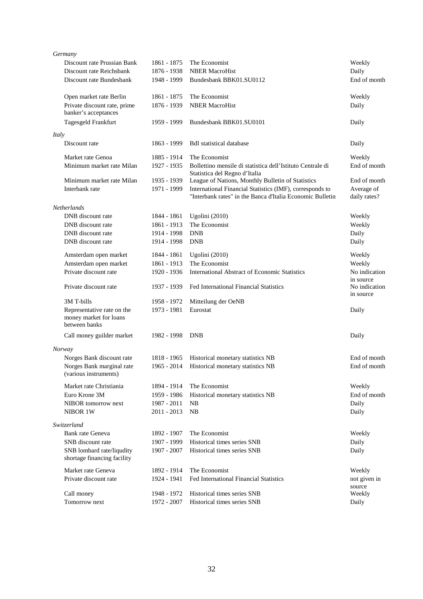| Germany                      |             |                                                            |                                         |
|------------------------------|-------------|------------------------------------------------------------|-----------------------------------------|
| Discount rate Prussian Bank  | 1861 - 1875 | The Economist                                              | Weekly                                  |
| Discount rate Reichsbank     | 1876 - 1938 | <b>NBER MacroHist</b>                                      | Daily                                   |
| Discount rate Bundesbank     | 1948 - 1999 | Bundesbank BBK01.SU0112                                    | End of month                            |
|                              |             |                                                            |                                         |
| Open market rate Berlin      | 1861 - 1875 | The Economist                                              | Weekly                                  |
| Private discount rate, prime | 1876 - 1939 | <b>NBER MacroHist</b>                                      | Daily                                   |
| banker's acceptances         |             |                                                            |                                         |
| Tagesgeld Frankfurt          | 1959 - 1999 | Bundesbank BBK01.SU0101                                    | Daily                                   |
| Italy                        |             |                                                            |                                         |
| Discount rate                | 1863 - 1999 | <b>BdI</b> statistical database                            | Daily                                   |
| Market rate Genoa            | 1885 - 1914 | The Economist                                              | Weekly                                  |
| Minimum market rate Milan    | 1927 - 1935 | Bollettino mensile di statistica dell'Istituto Centrale di | End of month                            |
|                              |             | Statistica del Regno d'Italia                              |                                         |
| Minimum market rate Milan    | 1935 - 1939 | League of Nations, Monthly Bulletin of Statistics          | End of month                            |
| Interbank rate               | 1971 - 1999 | International Financial Statistics (IMF), corresponds to   | Average of                              |
|                              |             | "Interbank rates" in the Banca d'Italia Economic Bulletin  | daily rates?                            |
| <b>Netherlands</b>           |             |                                                            |                                         |
| DNB discount rate            | 1844 - 1861 | Ugolini (2010)                                             | Weekly                                  |
| DNB discount rate            | 1861 - 1913 | The Economist                                              | Weekly                                  |
| DNB discount rate            | 1914 - 1998 | <b>DNB</b>                                                 | Daily                                   |
| DNB discount rate            | 1914 - 1998 | <b>DNB</b>                                                 | Daily                                   |
|                              |             |                                                            |                                         |
| Amsterdam open market        | 1844 - 1861 | Ugolini (2010)                                             | Weekly                                  |
| Amsterdam open market        | 1861 - 1913 | The Economist                                              | Weekly                                  |
| Private discount rate        | 1920 - 1936 | <b>International Abstract of Economic Statistics</b>       | No indication                           |
| Private discount rate        | 1937 - 1939 | Fed International Financial Statistics                     | in source<br>No indication<br>in source |
| 3M T-bills                   | 1958 - 1972 | Mitteilung der OeNB                                        |                                         |
| Representative rate on the   | 1973 - 1981 | Eurostat                                                   | Daily                                   |
| money market for loans       |             |                                                            |                                         |
| between banks                |             |                                                            |                                         |
| Call money guilder market    | 1982 - 1998 | <b>DNB</b>                                                 | Daily                                   |
| Norway                       |             |                                                            |                                         |
| Norges Bank discount rate    | 1818 - 1965 | Historical monetary statistics NB                          | End of month                            |
| Norges Bank marginal rate    | 1965 - 2014 | Historical monetary statistics NB                          | End of month                            |
| (various instruments)        |             |                                                            |                                         |
| Market rate Christiania      | 1894 - 1914 | The Economist                                              | Weekly                                  |
| Euro Krone 3M                | 1959 - 1986 | Historical monetary statistics NB                          | End of month                            |
| NIBOR tomorrow next          | 1987 - 2011 | NВ                                                         | Daily                                   |
| NIBOR 1W                     | 2011 - 2013 | NB                                                         | Daily                                   |
|                              |             |                                                            |                                         |
| Switzerland                  |             |                                                            |                                         |
| Bank rate Geneva             | 1892 - 1907 | The Economist                                              | Weekly                                  |
| SNB discount rate            | 1907 - 1999 | Historical times series SNB                                | Daily                                   |
| SNB lombard rate/liqudity    | 1907 - 2007 | Historical times series SNB                                | Daily                                   |
| shortage financing facility  |             |                                                            |                                         |
| Market rate Geneva           | 1892 - 1914 | The Economist                                              | Weekly                                  |
| Private discount rate        | 1924 - 1941 | Fed International Financial Statistics                     | not given in                            |
|                              |             |                                                            | source                                  |
| Call money                   | 1948 - 1972 | Historical times series SNB                                | Weekly                                  |
| Tomorrow next                | 1972 - 2007 | Historical times series SNB                                | Daily                                   |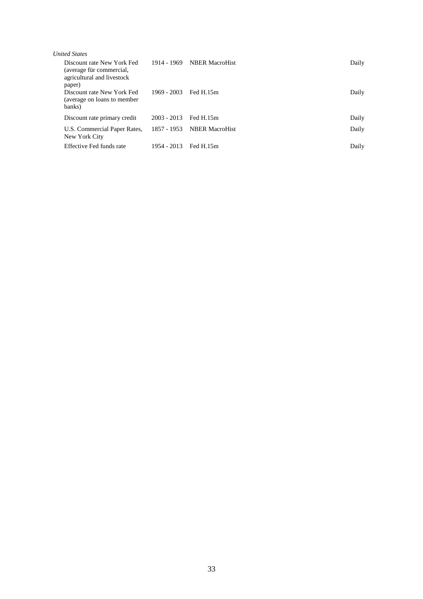| <b><i>United States</i></b>                                                                    |             |                            |       |
|------------------------------------------------------------------------------------------------|-------------|----------------------------|-------|
| Discount rate New York Fed<br>(average für commercial,<br>agricultural and livestock<br>paper) |             | 1914 - 1969 NBER MacroHist | Daily |
| Discount rate New York Fed<br>(average on loans to member)<br>banks)                           | 1969 - 2003 | Fed H.15m                  | Daily |
| Discount rate primary credit                                                                   | 2003 - 2013 | Fed H.15m                  | Daily |
| U.S. Commercial Paper Rates,<br>New York City                                                  |             | 1857 - 1953 NBER MacroHist | Daily |
| Effective Fed funds rate                                                                       | 1954 - 2013 | Fed H.15m                  | Daily |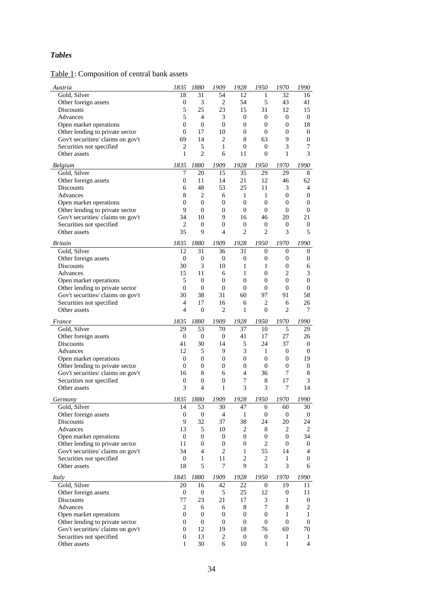## *Tables*

## Table 1: Composition of central bank assets

| Austria                                                   | 1835             | 1880                   | 1909                   | 1928               | 1950                  | 1970                     | 1990                |
|-----------------------------------------------------------|------------------|------------------------|------------------------|--------------------|-----------------------|--------------------------|---------------------|
| Gold, Silver                                              | 18               | 31                     | 54                     | 12                 | 1                     | 32                       | 16                  |
| Other foreign assets                                      | $\boldsymbol{0}$ | 3                      | $\overline{2}$         | 54                 | 5                     | 43                       | 41                  |
| Discounts                                                 | 5                | 25                     | 23                     | 15                 | 31                    | 12                       | 15                  |
| Advances                                                  | 5                | $\overline{4}$         | 3                      | $\boldsymbol{0}$   | $\boldsymbol{0}$      | $\boldsymbol{0}$         | $\mathbf{0}$        |
| Open market operations                                    | $\overline{0}$   | $\theta$               | $\boldsymbol{0}$       | $\boldsymbol{0}$   | $\overline{0}$        | $\boldsymbol{0}$         | 18                  |
| Other lending to private sector                           | $\mathbf{0}$     | 17                     | 10                     | $\boldsymbol{0}$   | $\mathbf{0}$          | $\overline{0}$           | $\boldsymbol{0}$    |
| Gov't securities/ claims on gov't                         | 69               | 14                     | $\overline{2}$         | 8                  | 63                    | 9                        | $\boldsymbol{0}$    |
| Securities not specified                                  | $\mathfrak{2}$   | 5                      | 1                      | $\boldsymbol{0}$   | $\boldsymbol{0}$      | 3                        | 7                   |
| Other assets                                              | 1                | $\overline{2}$         | 6                      | 11                 | $\overline{0}$        | 1                        | 3                   |
| <b>Belgium</b>                                            | 1835             | 1880                   | 1909                   | 1928               | 1950                  | 1970                     | 1990                |
| Gold, Silver                                              | 7                | 20                     | 15                     | 35                 | 29                    | 29                       | 8                   |
| Other foreign assets                                      | $\mathbf{0}$     | 11                     | 14                     | 21                 | 12                    | 46                       | 62                  |
| Discounts                                                 | 6                | 48                     | 53                     | 25                 | 11                    | 3                        | $\overline{4}$      |
| Advances                                                  | 8                | 2                      | 6                      | 1                  | 1                     | $\mathbf{0}$             | $\boldsymbol{0}$    |
| Open market operations                                    | $\boldsymbol{0}$ | $\boldsymbol{0}$       | $\boldsymbol{0}$       | $\boldsymbol{0}$   | $\boldsymbol{0}$      | $\mathbf{0}$             | $\boldsymbol{0}$    |
| Other lending to private sector                           | 9                | $\overline{0}$         | $\boldsymbol{0}$       | $\boldsymbol{0}$   | $\mathbf{0}$          | $\mathbf{0}$             | $\boldsymbol{0}$    |
| Gov't securities/ claims on gov't                         | 34               | 10                     | 9                      | 16                 | 46                    | 20                       | 21                  |
| Securities not specified                                  | $\overline{2}$   | 0                      | $\boldsymbol{0}$       | $\mathbf{0}$       | 0                     | $\boldsymbol{0}$         | $\mathbf{0}$        |
| Other assets                                              | 35               | 9                      | 4                      | $\overline{2}$     | $\overline{c}$        | 3                        | 5                   |
|                                                           |                  |                        |                        |                    |                       |                          |                     |
| <b>Britain</b>                                            | 1835<br>12       | 1880                   | 1909                   | 1928               | 1950                  | 1970                     | 1990                |
| Gold, Silver                                              | $\mathbf{0}$     | 31<br>$\boldsymbol{0}$ | 36<br>$\boldsymbol{0}$ | 31<br>$\mathbf{0}$ | 0<br>$\boldsymbol{0}$ | $\Omega$<br>$\mathbf{0}$ | $\mathbf{0}$        |
| Other foreign assets<br>Discounts                         | 30               | 3                      | 10                     | 1                  | 1                     | $\overline{0}$           | $\boldsymbol{0}$    |
| Advances                                                  | 15               | 11                     | 6                      | 1                  | $\boldsymbol{0}$      | $\overline{2}$           | 6<br>$\mathfrak 3$  |
|                                                           | 5                | $\overline{0}$         | $\mathbf{0}$           | $\overline{0}$     | $\overline{0}$        | 0                        | $\boldsymbol{0}$    |
| Open market operations<br>Other lending to private sector | $\boldsymbol{0}$ | $\boldsymbol{0}$       | $\boldsymbol{0}$       | $\overline{0}$     | $\overline{0}$        | $\mathbf{0}$             | $\boldsymbol{0}$    |
| Gov't securities/ claims on gov't                         | 30               | 38                     | 31                     | 60                 | 97                    | 91                       | 58                  |
| Securities not specified                                  | 4                | 17                     | 16                     | 6                  | 2                     | 6                        | 26                  |
| Other assets                                              | 4                | $\theta$               | 2                      | 1                  | 0                     | 2                        | 7                   |
|                                                           |                  |                        |                        |                    |                       |                          |                     |
| France                                                    | 1835             | 1880                   | 1909                   | 1928               | 1950                  | 1970                     | 1990                |
| Gold, Silver                                              | 29               | 53                     | 70                     | 37                 | 10                    | 5                        | 29                  |
| Other foreign assets                                      | $\mathbf{0}$     | $\boldsymbol{0}$       | $\theta$               | 41                 | 17                    | 27                       | 26                  |
| Discounts                                                 | 41               | 30                     | 14                     | 5                  | 24                    | 37                       | $\mathbf{0}$        |
| Advances                                                  | 12               | 5                      | 9                      | 3                  | 1                     | $\mathbf{0}$             | $\boldsymbol{0}$    |
|                                                           |                  |                        |                        |                    |                       |                          |                     |
| Open market operations                                    | $\boldsymbol{0}$ | 0                      | $\boldsymbol{0}$       | $\boldsymbol{0}$   | $\overline{0}$        | $\mathbf{0}$             | 19                  |
| Other lending to private sector                           | $\mathbf{0}$     | $\overline{0}$         | $\mathbf{0}$           | $\overline{0}$     | $\overline{0}$        | $\overline{0}$           | $\mathbf{0}$        |
| Gov't securities/ claims on gov't                         | 16               | 8                      | 6                      | 4                  | 36                    | 7                        | 8                   |
| Securities not specified                                  | $\boldsymbol{0}$ | $\boldsymbol{0}$       | $\boldsymbol{0}$       | $\boldsymbol{7}$   | 8                     | 17                       | 3                   |
| Other assets                                              | 3                | 4                      | 1                      | 3                  | 3                     | 7                        | 14                  |
| Germany                                                   | 1835             | 1880                   | 1909                   | 1928               | 1950                  | 1970                     | 1990                |
| Gold, Silver                                              | 14               | 53                     | 30                     | 47                 | 6                     | 60                       | 30                  |
| Other foreign assets                                      | $\boldsymbol{0}$ | $\boldsymbol{0}$       | $\overline{4}$         | $\mathbf{1}$       | $\boldsymbol{0}$      | $\boldsymbol{0}$         | $\mathbf{0}$        |
| Discounts                                                 | 9                | 32                     | 37                     | 38                 | 24                    | 20                       | 24                  |
| Advances                                                  | 13               | 5                      | 10                     | 2                  | 8                     | 2                        | 2                   |
| Open market operations                                    | $\boldsymbol{0}$ | $\boldsymbol{0}$       | $\boldsymbol{0}$       | $\boldsymbol{0}$   | $\boldsymbol{0}$      | $\mathbf{0}$             | 34                  |
| Other lending to private sector                           | 11               | 0                      | $\boldsymbol{0}$       | $\boldsymbol{0}$   | $\overline{c}$        | $\boldsymbol{0}$         | $\mathbf{0}$        |
| Gov't securities/ claims on gov't                         | 34               | 4                      | $\overline{c}$         | 1                  | 55                    | 14                       | 4                   |
| Securities not specified                                  | $\boldsymbol{0}$ | 1                      | 11                     | $\mathbf{2}$       | 2                     | 1                        | $\boldsymbol{0}$    |
| Other assets                                              | 18               | 5                      | 7                      | 9                  | 3                     | 3                        | 6                   |
| Italy                                                     | 1845             | 1880                   | 1909                   | 1928               | 1950                  | 1970                     | 1990                |
| Gold, Silver                                              | 20               | 16                     | 42                     | 22                 | 0                     | 19                       | 11                  |
| Other foreign assets                                      | $\boldsymbol{0}$ | $\boldsymbol{0}$       | $\sqrt{5}$             | 25                 | 12                    | $\boldsymbol{0}$         | 11                  |
| Discounts                                                 | 77               | 23                     | 21                     | 17                 | 3                     | 1                        | $\boldsymbol{0}$    |
| Advances                                                  | $\overline{c}$   | 6                      | 6                      | 8                  | 7                     | 8                        | $\sqrt{2}$          |
| Open market operations                                    | 0                | $\boldsymbol{0}$       | $\boldsymbol{0}$       | $\boldsymbol{0}$   | $\boldsymbol{0}$      | 1                        | $\mathbf{1}$        |
| Other lending to private sector                           | $\boldsymbol{0}$ | $\boldsymbol{0}$       | $\mathbf{0}$           | $\boldsymbol{0}$   | $\overline{0}$        | $\mathbf{0}$             | $\boldsymbol{0}$    |
| Gov't securities/ claims on gov't                         | $\boldsymbol{0}$ | 12                     | 19                     | 18                 | 76                    | 69                       | 70                  |
| Securities not specified<br>Other assets                  | 0                | 13<br>30               | $\overline{c}$         | $\boldsymbol{0}$   | 0                     | 1                        | 1<br>$\overline{4}$ |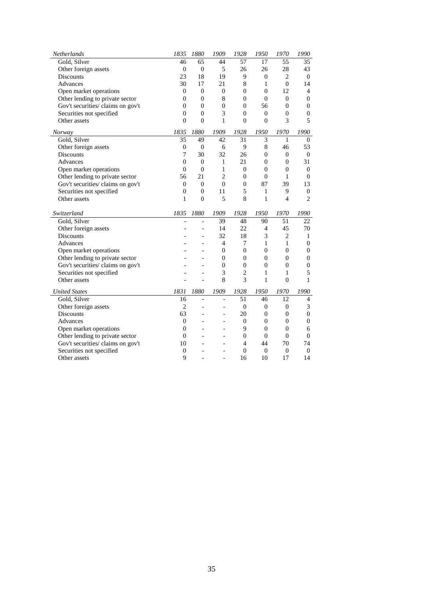| Netherlands                       | 1835             | 1880             | 1909             | 1928             | 1950             | 1970           | 1990             |
|-----------------------------------|------------------|------------------|------------------|------------------|------------------|----------------|------------------|
| Gold, Silver                      | 46               | 65               | 44               | 57               | 17               | 55             | 35               |
| Other foreign assets              | $\overline{0}$   | $\theta$         | 5                | 26               | 26               | 28             | 43               |
| <b>Discounts</b>                  | 23               | 18               | 19               | 9                | $\mathbf{0}$     | $\overline{2}$ | $\boldsymbol{0}$ |
| Advances                          | 30               | 17               | 21               | 8                | 1                | $\mathbf{0}$   | 14               |
| Open market operations            | $\boldsymbol{0}$ | $\boldsymbol{0}$ | $\boldsymbol{0}$ | $\boldsymbol{0}$ | $\boldsymbol{0}$ | 12             | $\overline{4}$   |
| Other lending to private sector   | $\boldsymbol{0}$ | $\boldsymbol{0}$ | $\,$ 8 $\,$      | $\boldsymbol{0}$ | $\overline{0}$   | $\overline{0}$ | $\overline{0}$   |
| Gov't securities/ claims on gov't | $\theta$         | $\mathbf{0}$     | $\theta$         | $\mathbf{0}$     | 56               | $\overline{0}$ | $\overline{0}$   |
| Securities not specified          | $\overline{0}$   | $\overline{0}$   | 3                | $\boldsymbol{0}$ | $\overline{0}$   | 0              | $\overline{0}$   |
| Other assets                      | $\theta$         | $\theta$         | 1                | $\mathbf{0}$     | $\theta$         | 3              | 5                |
| Norway                            | 1835             | 1880             | 1909             | 1928             | 1950             | 1970           | 1990             |
| Gold, Silver                      | 35               | 49               | 42               | 31               | 3                | 1              | $\overline{0}$   |
| Other foreign assets              | $\mathbf{0}$     | $\mathbf{0}$     | 6                | 9                | 8                | 46             | 53               |
| <b>Discounts</b>                  | 7                | 30               | 32               | 26               | $\mathbf{0}$     | 0              | $\boldsymbol{0}$ |
| Advances                          | $\mathbf{0}$     | $\boldsymbol{0}$ | $\mathbf{1}$     | 21               | $\boldsymbol{0}$ | $\overline{0}$ | 31               |
| Open market operations            | $\overline{0}$   | $\overline{0}$   | $\mathbf{1}$     | $\overline{0}$   | $\overline{0}$   | $\overline{0}$ | $\boldsymbol{0}$ |
| Other lending to private sector   | 56               | 21               | $\overline{2}$   | $\mathbf{0}$     | $\theta$         | 1              | $\mathbf{0}$     |
| Gov't securities/ claims on gov't | $\overline{0}$   | $\mathbf{0}$     | $\overline{0}$   | $\overline{0}$   | 87               | 39             | 13               |
| Securities not specified          | $\overline{0}$   | $\overline{0}$   | 11               | 5                | 1                | 9              | $\boldsymbol{0}$ |
| Other assets                      | 1                | $\theta$         | 5                | 8                | 1                | 4              | $\overline{2}$   |
| Switzerland                       | 1835             | 1880             | 1909             | 1928             | 1950             | 1970           | 1990             |
| Gold, Silver                      |                  |                  | 39               | 48               | 90               | 51             | 22               |
| Other foreign assets              |                  |                  | 14               | 22               | $\overline{4}$   | 45             | 70               |
| <b>Discounts</b>                  |                  |                  | 32               | 18               | 3                | $\overline{c}$ | 1                |
| Advances                          |                  |                  | 4                | 7                | 1                | 1              | $\mathbf{0}$     |
| Open market operations            |                  |                  | $\theta$         | $\overline{0}$   | $\overline{0}$   | $\overline{0}$ | 0                |
| Other lending to private sector   |                  |                  | $\theta$         | $\mathbf{0}$     | $\mathbf{0}$     | $\mathbf{0}$   | $\overline{0}$   |
| Gov't securities/ claims on gov't |                  |                  | $\theta$         | $\overline{0}$   | $\overline{0}$   | $\overline{0}$ | $\boldsymbol{0}$ |
| Securities not specified          |                  |                  | 3                | $\overline{c}$   | 1                | 1              | 5                |
| Other assets                      |                  |                  | 8                | 3                | 1                | $\theta$       | 1                |
| <b>United States</b>              | 1831             | 1880             | 1909             | 1928             | 1950             | 1970           | 1990             |
| Gold, Silver                      | 16               | $\overline{a}$   | $\overline{a}$   | $\overline{51}$  | 46               | 12             | $\overline{4}$   |
| Other foreign assets              | $\overline{c}$   |                  |                  | $\boldsymbol{0}$ | $\overline{0}$   | $\mathbf{0}$   | 3                |
| Discounts                         | 63               |                  | L,               | 20               | $\mathbf{0}$     | $\overline{0}$ | $\overline{0}$   |
| Advances                          | $\mathbf{0}$     |                  |                  | $\boldsymbol{0}$ | $\overline{0}$   | $\overline{0}$ | $\overline{0}$   |
| Open market operations            | $\theta$         |                  |                  | 9                | $\overline{0}$   | $\mathbf{0}$   | 6                |
| Other lending to private sector   | $\overline{0}$   |                  |                  | $\boldsymbol{0}$ | $\mathbf{0}$     | $\overline{0}$ | $\boldsymbol{0}$ |
| Gov't securities/ claims on gov't | 10               |                  |                  | $\overline{4}$   | 44               | 70             | 74               |
| Securities not specified          | $\overline{0}$   |                  |                  | $\Omega$         | $\overline{0}$   | $\overline{0}$ | $\overline{0}$   |
| Other assets                      | 9                |                  |                  | 16               | 10               | 17             | 14               |
|                                   |                  |                  |                  |                  |                  |                |                  |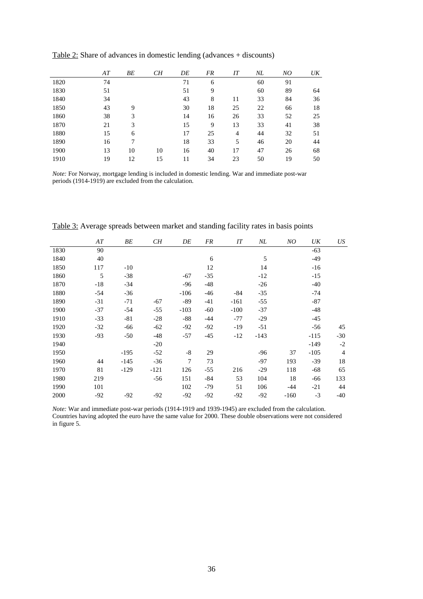|      | AT | BЕ | CН | DE | FR | IT | $N\!L$ | NO | UK |
|------|----|----|----|----|----|----|--------|----|----|
| 1820 | 74 |    |    | 71 | 6  |    | 60     | 91 |    |
| 1830 | 51 |    |    | 51 | 9  |    | 60     | 89 | 64 |
| 1840 | 34 |    |    | 43 | 8  | 11 | 33     | 84 | 36 |
| 1850 | 43 | 9  |    | 30 | 18 | 25 | 22     | 66 | 18 |
| 1860 | 38 | 3  |    | 14 | 16 | 26 | 33     | 52 | 25 |
| 1870 | 21 | 3  |    | 15 | 9  | 13 | 33     | 41 | 38 |
| 1880 | 15 | 6  |    | 17 | 25 | 4  | 44     | 32 | 51 |
| 1890 | 16 | 7  |    | 18 | 33 | 5  | 46     | 20 | 44 |
| 1900 | 13 | 10 | 10 | 16 | 40 | 17 | 47     | 26 | 68 |
| 1910 | 19 | 12 | 15 | 11 | 34 | 23 | 50     | 19 | 50 |

Table 2: Share of advances in domestic lending (advances + discounts)

*Note:* For Norway, mortgage lending is included in domestic lending. War and immediate post-war periods (1914-1919) are excluded from the calculation.

|      | AT    | BЕ     | CН     | DE     | FR    | IT     | NL     | NO     | UK     | US             |
|------|-------|--------|--------|--------|-------|--------|--------|--------|--------|----------------|
| 1830 | 90    |        |        |        |       |        |        |        | $-63$  |                |
| 1840 | 40    |        |        |        | 6     |        | 5      |        | $-49$  |                |
| 1850 | 117   | $-10$  |        |        | 12    |        | 14     |        | $-16$  |                |
| 1860 | 5     | $-38$  |        | $-67$  | $-35$ |        | $-12$  |        | $-15$  |                |
| 1870 | $-18$ | $-34$  |        | $-96$  | $-48$ |        | $-26$  |        | $-40$  |                |
| 1880 | $-54$ | $-36$  |        | $-106$ | $-46$ | -84    | $-35$  |        | -74    |                |
| 1890 | $-31$ | $-71$  | $-67$  | $-89$  | $-41$ | $-161$ | $-55$  |        | $-87$  |                |
| 1900 | $-37$ | $-54$  | $-55$  | $-103$ | $-60$ | $-100$ | $-37$  |        | $-48$  |                |
| 1910 | $-33$ | $-81$  | $-28$  | $-88$  | $-44$ | $-77$  | $-29$  |        | $-45$  |                |
| 1920 | $-32$ | $-66$  | $-62$  | $-92$  | $-92$ | $-19$  | $-51$  |        | -56    | 45             |
| 1930 | $-93$ | $-50$  | $-48$  | $-57$  | $-45$ | $-12$  | $-143$ |        | $-115$ | $-30$          |
| 1940 |       |        | $-20$  |        |       |        |        |        | $-149$ | $-2$           |
| 1950 |       | $-195$ | $-52$  | $-8$   | 29    |        | $-96$  | 37     | $-105$ | $\overline{4}$ |
| 1960 | 44    | $-145$ | $-36$  | $\tau$ | 73    |        | $-97$  | 193    | $-39$  | 18             |
| 1970 | 81    | $-129$ | $-121$ | 126    | $-55$ | 216    | $-29$  | 118    | $-68$  | 65             |
| 1980 | 219   |        | $-56$  | 151    | $-84$ | 53     | 104    | 18     | $-66$  | 133            |
| 1990 | 101   |        |        | 102    | $-79$ | 51     | 106    | $-44$  | $-21$  | 44             |
| 2000 | $-92$ | $-92$  | $-92$  | $-92$  | $-92$ | $-92$  | $-92$  | $-160$ | $-3$   | $-40$          |

Table 3: Average spreads between market and standing facility rates in basis points

*Note:* War and immediate post-war periods (1914-1919 and 1939-1945) are excluded from the calculation. Countries having adopted the euro have the same value for 2000. These double observations were not considered in figure 5.